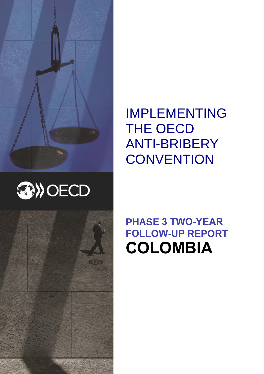





IMPLEMENTING THE OECD ANTI-BRIBERY **CONVENTION** 

## **PHASE 3 TWO-YEAR FOLLOW-UP REPORT COLOMBIA**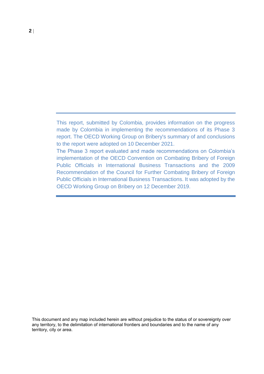This report, submitted by Colombia, provides information on the progress made by Colombia in implementing the recommendations of its Phase 3 report. The OECD Working Group on Bribery's summary of and conclusions to the report were adopted on 10 December 2021.

The Phase 3 report evaluated and made recommendations on Colombia's implementation of the OECD Convention on Combating Bribery of Foreign Public Officials in International Business Transactions and the 2009 Recommendation of the Council for Further Combating Bribery of Foreign Public Officials in International Business Transactions. It was adopted by the OECD Working Group on Bribery on 12 December 2019.

This document and any map included herein are without prejudice to the status of or sovereignty over any territory, to the delimitation of international frontiers and boundaries and to the name of any territory, city or area.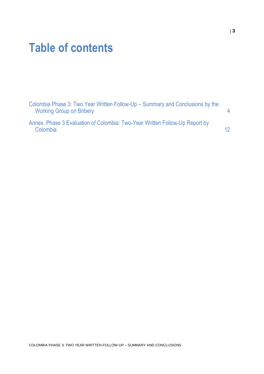## **Table of contents**

| Colombia Phase 3: Two Year Written Follow-Up – Summary and Conclusions by the<br><b>Working Group on Bribery</b> |    |
|------------------------------------------------------------------------------------------------------------------|----|
| Annex. Phase 3 Evaluation of Colombia: Two-Year Written Follow-Up Report by<br>Colombia                          | 12 |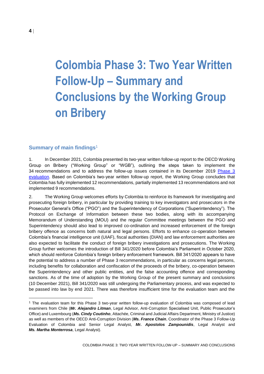# <span id="page-3-0"></span>**Colombia Phase 3: Two Year Written Follow-Up – Summary and Conclusions by the Working Group on Bribery**

#### **Summary of main findings**<sup>1</sup>

1. In December 2021, Colombia presented its two-year written follow-up report to the OECD Working Group on Bribery ("Working Group" or "WGB"), outlining the steps taken to implement the 34 recommendations and to address the follow-up issues contained in its December 2019 Phase 3 [evaluation.](https://www.oecd.org/corruption/Colombia-Phase-3-Report-ENG.pdf) Based on Colombia's two-year written follow-up report, the Working Group concludes that Colombia has fully implemented 12 recommendations, partially implemented 13 recommendations and not implemented 9 recommendations.

2. The Working Group welcomes efforts by Colombia to reinforce its framework for investigating and prosecuting foreign bribery, in particular by providing training to key investigators and prosecutors in the Prosecutor General's Office ("PGO") and the Superintendency of Corporations ("Superintendency"). The Protocol on Exchange of Information between these two bodies, along with its accompanying Memorandum of Understanding (MOU) and the regular Committee meetings between the PGO and Superintendency should also lead to improved co-ordination and increased enforcement of the foreign bribery offence as concerns both natural and legal persons. Efforts to enhance co-operation between Colombia's financial intelligence unit (UIAF), fiscal authorities (DIAN) and law enforcement authorities are also expected to facilitate the conduct of foreign bribery investigations and prosecutions. The Working Group further welcomes the introduction of Bill 341/2020 before Colombia's Parliament in October 2020, which should reinforce Colombia's foreign bribery enforcement framework. Bill 341/2020 appears to have the potential to address a number of Phase 3 recommendations, in particular as concerns legal persons, including benefits for collaboration and confiscation of the proceeds of the bribery, co-operation between the Superintendency and other public entities, and the false accounting offence and corresponding sanctions. As of the time of adoption by the Working Group of the present summary and conclusions (10 December 2021), Bill 341/2020 was still undergoing the Parliamentary process, and was expected to be passed into law by end 2021. There was therefore insufficient time for the evaluation team and the

<sup>1</sup> The evaluation team for this Phase 3 two-year written follow-up evaluation of Colombia was composed of lead examiners from Chile (*Mr. Alejandro Litman*, Legal Advisor, Anti-Corruption Specialised Unit, Public Prosecutor's Office) and Luxembourg (*Ms. Cindy Coutinho*, Attachée, Criminal and Judicial Affairs Department, Ministry of Justice) as well as members of the OECD Anti-Corruption Division (*Ms. France Chain*, Coordinator of the Phase 3 Follow-Up Evaluation of Colombia and Senior Legal Analyst, *Mr. Apostolos Zampounidis*, Legal Analyst and *Ms. Martha Monterrosa*, Legal Analyst).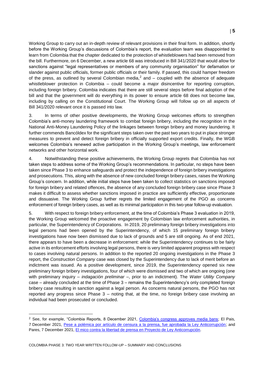Working Group to carry out an in-depth review of relevant provisions in their final form. In addition, shortly before the Working Group's discussions of Colombia's report, the evaluation team was disappointed to learn from Colombia that the chapter dedicated to the protection of whistleblowers had been removed from the bill. Furthermore, on 6 December, a new article 68 was introduced in Bill 341/2020 that would allow for sanctions against "legal representatives or members of any community organisation" for defamation or slander against public officials, former public officials or their family. If passed, this could hamper freedom of the press, as outlined by several Colombian media,<sup>2</sup> and  $-$  coupled with the absence of adequate whistleblower protection in Colombia – could become a major disincentive for reporting corruption, including foreign bribery. Colombia indicates that there are still several steps before final adoption of the bill and that the government will do everything in its power to ensure article 68 does not become law, including by calling on the Constitutional Court. The Working Group will follow up on all aspects of Bill 341/2020 relevant once it is passed into law.

3. In terms of other positive developments, the Working Group welcomes efforts to strengthen Colombia's anti-money laundering framework to combat foreign bribery, including the recognition in the National Anti-Money Laundering Policy of the linkages between foreign bribery and money laundering. It further commends Bancóldex for the significant steps taken over the past two years to put in place stronger measures to prevent and detect foreign bribery in officially supported export credits. Finally, the WGB welcomes Colombia's renewed active participation in the Working Group's meetings, law enforcement networks and other horizontal work.

4. Notwithstanding these positive achievements, the Working Group regrets that Colombia has not taken steps to address some of the Working Group's recommendations. In particular, no steps have been taken since Phase 3 to enhance safeguards and protect the independence of foreign bribery investigations and prosecutions. This, along with the absence of new concluded foreign bribery cases, raises the Working Group's concern. In addition, while initial steps have been taken to collect statistics on sanctions imposed for foreign bribery and related offences, the absence of any concluded foreign bribery case since Phase 3 makes it difficult to assess whether sanctions imposed in practice are sufficiently effective, proportionate and dissuasive. The Working Group further regrets the limited engagement of the PGO as concerns enforcement of foreign bribery cases, as well as its minimal participation in this two-year follow-up evaluation.

5. With respect to foreign bribery enforcement, at the time of Colombia's Phase 3 evaluation in 2019, the Working Group welcomed the proactive engagement by Colombian law enforcement authorities, in particular, the Superintendency of Corporations. In 2019, 20 preliminary foreign bribery investigations into legal persons had been opened by the Superintendency, of which 15 preliminary foreign bribery investigations have now been dismissed due to lack of grounds and 5 are still ongoing. As of end 2021, there appears to have been a decrease in enforcement: while the Superintendency continues to be fairly active in its enforcement efforts involving legal persons, there is very limited apparent progress with respect to cases involving natural persons. In addition to the reported 20 ongoing investigations in the Phase 3 report, the *Construction Company* case was closed by the Superintendency due to lack of merit before an indictment was issued. As a positive development, since 2019, the Superintendency opened six new preliminary foreign bribery investigations, four of which were dismissed and two of which are ongoing (one with preliminary inquiry – *indagación preliminar –*, prior to an indictment). The *Water Utility Company* case – already concluded at the time of Phase 3 – remains the Superintendency's only completed foreign bribery case resulting in sanction against a legal person. As concerns natural persons, the PGO has not reported any progress since Phase 3 – noting that, at the time, no foreign bribery case involving an individual had been prosecuted or concluded.

<sup>2</sup> See, for example, "Colombia Reports, 8 December 2021, [Colombia's congress approves media bans;](https://colombiareports.com/colombias-congress-seeks-to-shut-down-news-media/) El Pais, 7 December 2021, [Pese a polémica por artículo de censura a la prensa, fue aprobada la Ley Anticorrupción;](http://www.elpais.com.co/politica/pese-a-polemica-por-articulo-de-censura-a-la-prensa-fue-aprobada-la-ley-anticorrupcion.html) and Pares, 7 December 2021, [El mico contra la libertad de prensa en Proyecto de Ley Anticorrupción.](https://www.pares.com.co/post/el-mico-contra-la-libertad-de-prensa-en-la-proyecto-de-ley-anticorrupci%C3%B3n)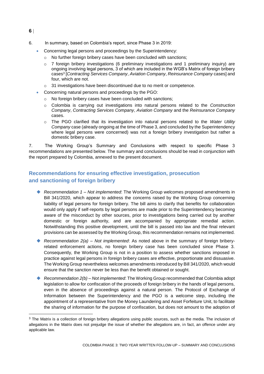**6**

- 6. In summary, based on Colombia's report, since Phase 3 in 2019:
	- Concerning legal persons and proceedings by the Superintendency:
		- o No further foreign bribery cases have been concluded with sanctions;
		- $\circ$  7 foreign bribery investigations (6 preliminary investigations and 1 preliminary inquiry) are ongoing involving legal persons, 3 of which are included in the WGB's Matrix of foreign bribery cases<sup>3</sup> [*Contracting Services Company*, *Aviation Company*, *Reinsurance Company* cases] and four, which are not.
		- o 31 investigations have been discontinued due to no merit or competence.
		- Concerning natural persons and proceedings by the PGO:
			- o No foreign bribery cases have been concluded with sanctions;
			- o Colombia is carrying out investigations into natural persons related to the *Construction Company*, *Contracting Services Company*, *Aviation Company* and the *Reinsurance Company*  cases.
			- o The PGO clarified that its investigation into natural persons related to the *Water Utility Company* case (already ongoing at the time of Phase 3, and concluded by the Superintendency where legal persons were concerned) was not a foreign bribery investigation but rather a domestic bribery case.

7. The Working Group's Summary and Conclusions with respect to specific Phase 3 recommendations are presented below. The summary and conclusions should be read in conjunction with the report prepared by Colombia, annexed to the present document.

## **Recommendations for ensuring effective investigation, prosecution and sanctioning of foreign bribery**

- *Recommendation 1 – Not implemented*: The Working Group welcomes proposed amendments in Bill 341/2020, which appear to address the concerns raised by the Working Group concerning liability of legal persons for foreign bribery. The bill aims to clarify that benefits for collaboration would only apply if self-reports by legal persons are made prior to the Superintendency becoming aware of the misconduct by other sources, prior to investigations being carried out by another domestic or foreign authority, and are accompanied by appropriate remedial action. Notwithstanding this positive development, until the bill is passed into law and the final relevant provisions can be assessed by the Working Group, this recommendation remains not implemented.
- *Recommendation 2(a) – Not implemented*: As noted above in the summary of foreign briberyrelated enforcement actions, no foreign bribery case has been concluded since Phase 3. Consequently, the Working Group is not in a position to assess whether sanctions imposed in practice against legal persons in foreign bribery cases are effective, proportionate and dissuasive. The Working Group nevertheless welcomes amendments introduced by Bill 341/2020, which would ensure that the sanction never be less than the benefit obtained or sought.
- *Recommendation 2(b) Not implemented*: The Working Group recommended that Colombia adopt legislation to allow for confiscation of the proceeds of foreign bribery in the hands of legal persons, even in the absence of proceedings against a natural person. The Protocol of Exchange of Information between the Superintendency and the PGO is a welcome step, including the appointment of a representative from the Money Laundering and Asset Forfeiture Unit, to facilitate the sharing of information for the purpose of confiscation, but does not amount to the adoption of

<sup>&</sup>lt;sup>3</sup> The Matrix is a collection of foreign bribery allegations using public sources, such as the media. The inclusion of allegations in the Matrix does not prejudge the issue of whether the allegations are, in fact, an offence under any applicable law.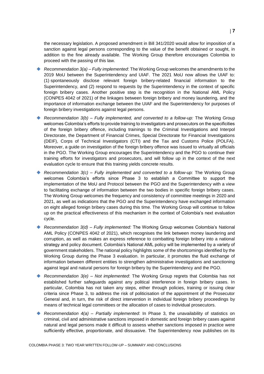the necessary legislation. A proposed amendment in Bill 341/2020 would allow for imposition of a sanction against legal persons corresponding to the value of the benefit obtained or sought, in addition to the fine already available. The Working Group therefore encourages Colombia to proceed with the passing of this law.

- *Recommendation 3(a) – Fully implemented*: The Working Group welcomes the amendments to the 2019 MoU between the Superintendency and UIAF. The 2021 MoU now allows the UIAF to: (1) spontaneously disclose relevant foreign bribery-related financial information to the Superintendency, and (2) respond to requests by the Superintendency in the context of specific foreign bribery cases. Another positive step is the recognition in the National AML Policy (CONPES 4042 of 2021) of the linkages between foreign bribery and money laundering, and the importance of information exchange between the UIAF and the Superintendency for purposes of foreign bribery investigations against legal persons.
- *Recommendation 3(b) Fully implemented, and converted to a follow-up:* The Working Group welcomes Colombia's efforts to provide training to investigators and prosecutors on the specificities of the foreign bribery offence, including trainings to the Criminal Investigations and Interpol Directorate, the Department of Financial Crimes, Special Directorate for Financial Investigations (DEIF), Corps of Technical Investigators (CTI) and the Tax and Customs Police (POLFA). Moreover, a guide on investigation of the foreign bribery offence was issued to virtually all officials in the PGO. The Working Group encourages the Superintendency and the PGO to continue their training efforts for investigators and prosecutors, and will follow up in the context of the next evaluation cycle to ensure that this training yields concrete results.
- *Recommendation 3(c) Fully implemented and converted to a follow-up:* The Working Group welcomes Colombia's efforts since Phase 3 to establish a Committee to support the implementation of the MoU and Protocol between the PGO and the Superintendency with a view to facilitating exchange of information between the two bodies in specific foreign bribery cases. The Working Group welcomes the frequency and consistency of committee meetings in 2020 and 2021, as well as indications that the PGO and the Superintendency have exchanged information on eight alleged foreign bribery cases during this time. The Working Group will continue to follow up on the practical effectiveness of this mechanism in the context of Colombia's next evaluation cycle.
- *Recommendation 3(d) Fully implemented:* The Working Group welcomes Colombia's National AML Policy (CONPES 4042 of 2021), which recognises the link between money laundering and corruption, as well as makes an express reference to combatting foreign bribery into a national strategy and policy document. Colombia's National AML policy will be implemented by a variety of government stakeholders. The national policy highlights some of the shortcomings identified by the Working Group during the Phase 3 evaluation. In particular, it promotes the fluid exchange of information between different entities to strengthen administrative investigations and sanctioning against legal and natural persons for foreign bribery by the Superintendency and the PGO.
- *Recommendation 3(e) Not implemented*: The Working Group regrets that Colombia has not established further safeguards against any political interference in foreign bribery cases. In particular, Colombia has not taken any steps, either through policies, training or issuing clear criteria since Phase 3, to address the risk of politicisation of the appointment of the Prosecutor General and, in turn, the risk of direct intervention in individual foreign bribery proceedings by means of technical legal committees or the allocation of cases to individual prosecutors.
- ◆ *Recommendation 4(a) Partially implemented*: In Phase 3, the unavailability of statistics on criminal, civil and administrative sanctions imposed in domestic and foreign bribery cases against natural and legal persons made it difficult to assess whether sanctions imposed in practice were sufficiently effective, proportionate, and dissuasive. The Superintendency now publishes on its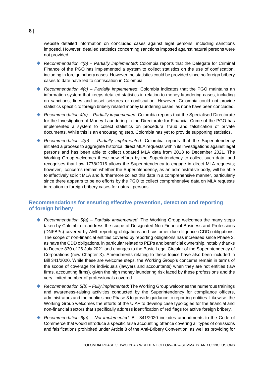website detailed information on concluded cases against legal persons, including sanctions imposed. However, detailed statistics concerning sanctions imposed against natural persons were not provided.

- *Recommendation 4(b) – Partially implemented*: Colombia reports that the Delegate for Criminal Finance of the PGO has implemented a system to collect statistics on the use of confiscation, including in foreign bribery cases. However, no statistics could be provided since no foreign bribery cases to date have led to confiscation in Colombia.
- *Recommendation 4(c) Partially implemented*: Colombia indicates that the PGO maintains an information system that keeps detailed statistics in relation to money laundering cases, including on sanctions, fines and asset seizures or confiscation. However, Colombia could not provide statistics specific to foreign bribery related money laundering cases, as none have been concluded.
- ◆ *Recommendation 4(d) Partially implemented*: Colombia reports that the Specialised Directorate for the Investigation of Money Laundering in the Directorate for Financial Crime of the PGO has implemented a system to collect statistics on procedural fraud and falsification of private documents. While this is an encouraging step, Colombia has yet to provide supporting statistics.
- *Recommendation 4(e) Partially implemented*: Colombia reports that the Superintendency initiated a process to aggregate historical direct MLA requests within its investigations against legal persons and has been able to collect updated MLA data from 2018 to December 2021. The Working Group welcomes these new efforts by the Superintendency to collect such data, and recognises that Law 1778/2016 allows the Superintendency to engage in direct MLA requests; however, concerns remain whether the Superintendency, as an administrative body, will be able to effectively solicit MLA and furthermore collect this data in a comprehensive manner, particularly since there appears to be no efforts by the PGO to collect comprehensive data on MLA requests in relation to foreign bribery cases for natural persons.

## **Recommendations for ensuring effective prevention, detection and reporting of foreign bribery**

- *Recommendation 5(a) – Partially implemented*: The Working Group welcomes the many steps taken by Colombia to address the scope of Designated Non-Financial Business and Professions (DNFBPs) covered by AML reporting obligations and customer due diligence (CDD) obligations. The scope of non-financial entities covered by reporting obligations has increased since Phase 3, as have the CDD obligations, in particular related to PEPs and beneficial ownership, notably thanks to Decree 830 of 26 July 2021 and changes to the Basic Legal Circular of the Superintendency of Corporations (new Chapter X). Amendments relating to these topics have also been included in Bill 341/2020. While these are welcome steps, the Working Group's concerns remain in terms of the scope of coverage for individuals (lawyers and accountants) when they are not entities (law firms, accounting firms), given the high money laundering risk faced by these professions and the very limited number of professionals covered.
- *Recommendation 5(b) Fully implemented*: The Working Group welcomes the numerous trainings and awareness-raising activities conducted by the Superintendency for compliance officers, administrators and the public since Phase 3 to provide guidance to reporting entities. Likewise, the Working Group welcomes the efforts of the UIAF to develop case typologies for the financial and non-financial sectors that specifically address identification of red flags for active foreign bribery.
- *Recommendation 6(a) Not implemented*: Bill 341/2020 includes amendments to the Code of Commerce that would introduce a specific false accounting offence covering all types of omissions and falsifications prohibited under Article 8 of the Anti-Bribery Convention, as well as providing for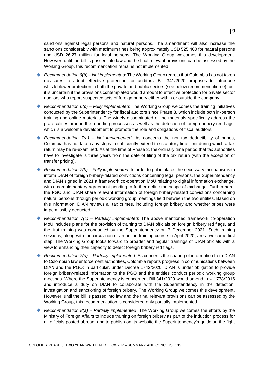sanctions against legal persons and natural persons. The amendment will also increase the sanctions considerably with maximum fines being approximately USD 525 400 for natural persons and USD 26.27 million for legal persons. The Working Group welcomes this development. However, until the bill is passed into law and the final relevant provisions can be assessed by the Working Group, this recommendation remains not implemented.

- *Recommendation 6(b) Not implemented*: The Working Group regrets that Colombia has not taken measures to adopt effective protection for auditors. Bill 341/2020 proposes to introduce whistleblower protection in both the private and public sectors (see below recommendation 9), but it is uncertain if the provisions contemplated would amount to effective protection for private sector auditors who report suspected acts of foreign bribery either within or outside the company.
- *Recommendation 6(c) Fully implemented*: The Working Group welcomes the training initiatives conducted by the Superintendency for fiscal auditors since Phase 3, which include both in-person training and online materials. The widely disseminated online materials specifically address the practicalities around the reporting processes as well as the detection of foreign bribery red flags, which is a welcome development to promote the role and obligations of fiscal auditors.
- *Recommendation 7(a) Not implemented*: As concerns the non-tax deductibility of bribes, Colombia has not taken any steps to sufficiently extend the statutory time limit during which a tax return may be re-examined. As at the time of Phase 3, the ordinary time period that tax authorities have to investigate is three years from the date of filing of the tax return (with the exception of transfer pricing).
- *Recommendation 7(b) Fully implemented*: In order to put in place, the necessary mechanisms to inform DIAN of foreign bribery-related convictions concerning legal persons, the Superintendency and DIAN signed in 2021 a framework co-operation MoU relating to digital information exchange, with a complementary agreement pending to further define the scope of exchange. Furthermore, the PGO and DIAN share relevant information of foreign bribery-related convictions concerning natural persons through periodic working group meetings held between the two entities. Based on this information, DIAN reviews all tax crimes, including foreign bribery and whether bribes were impermissibly deducted.
- *Recommendation 7(c) – Partially implemented*: The above mentioned framework co-operation MoU includes plans for the provision of training to DIAN officials on foreign bribery red flags, and the first training was conducted by the Superintendency on 7 December 2021. Such training sessions, along with the circulation of an online training course in April 2020, are a welcome first step. The Working Group looks forward to broader and regular trainings of DIAN officials with a view to enhancing their capacity to detect foreign bribery red flags.
- *Recommendation 7(d) – Partially implemented*: As concerns the sharing of information from DIAN to Colombian law enforcement authorities, Colombia reports progress in communications between DIAN and the PGO: in particular, under Decree 1742/2020, DIAN is under obligation to provide foreign bribery-related information to the PGO and the entities conduct periodic working group meetings. Where the Superintendency is concerned, Bill 341/2020 would amend Law 1778/2016 and introduce a duty on DIAN to collaborate with the Superintendency in the detection, investigation and sanctioning of foreign bribery. The Working Group welcomes this development. However, until the bill is passed into law and the final relevant provisions can be assessed by the Working Group, this recommendation is considered only partially implemented.
- *Recommendation 8(a) – Partially implemented*: The Working Group welcomes the efforts by the Ministry of Foreign Affairs to include training on foreign bribery as part of the induction process for all officials posted abroad, and to publish on its website the Superintendency's guide on the fight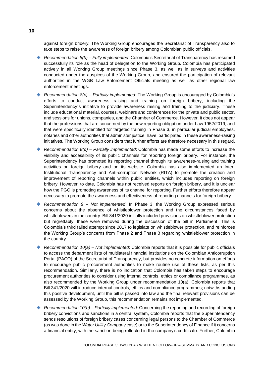against foreign bribery. The Working Group encourages the Secretariat of Transparency also to take steps to raise the awareness of foreign bribery among Colombian public officials.

- *Recommendation 8(b) – Fully implemented*: Colombia's Secretariat of Transparency has resumed successfully its role as the head of delegation to the Working Group. Colombia has participated actively in all Working Group meetings since Phase 3, as well as in surveys and activities conducted under the auspices of the Working Group, and ensured the participation of relevant authorities in the WGB Law Enforcement Officials meeting as well as other regional law enforcement meetings.
- *Recommendation 8(c) – Partially implemented*: The Working Group is encouraged by Colombia's efforts to conduct awareness raising and training on foreign bribery, including the Superintendency´s initiative to provide awareness raising and training to the judiciary. These include educational material, courses, webinars and conferences for the private and public sector, and sessions for unions, companies, and the Chamber of Commerce. However, it does not appear that the professions that are concerned by the new reporting obligation under Law 1952/2019, and that were specifically identified for targeted training in Phase 3, in particular judicial employees, notaries and other authorities that administer justice, have participated in these awareness-raising initiatives. The Working Group considers that further efforts are therefore necessary in this regard.
- *Recommendation 8(d) – Partially implemented*: Colombia has made some efforts to increase the visibility and accessibility of its public channels for reporting foreign bribery. For instance, the Superintendency has promoted its reporting channel through its awareness-raising and training activities on foreign bribery and on its website. Colombia has also implemented an Inter-Institutional Transparency and Anti-corruption Network (RITA) to promote the creation and improvement of reporting channels within public entities, which includes reporting on foreign bribery. However, to date, Colombia has not received reports on foreign bribery, and it is unclear how the PGO is promoting awareness of its channel for reporting. Further efforts therefore appear necessary to promote the awareness and effectiveness of reporting channels for foreign bribery.
- *Recommendation 9 – Not implemented*: In Phase 3, the Working Group expressed serious concerns about the absence of whistleblower protection and the circumstances faced by whistleblowers in the country. Bill 341/2020 initially included provisions on whistleblower protection but regrettably, these were removed during the discussion of the bill in Parliament. This is Colombia's third failed attempt since 2017 to legislate on whistleblower protection, and reinforces the Working Group's concerns from Phase 2 and Phase 3 regarding whistleblower protection in the country.
- *Recommendation 10(a) Not implemented*: Colombia reports that it is possible for public officials to access the debarment lists of multilateral financial institutions on the Colombian Anticorruption Portal (PACO) of the Secretariat of Transparency, but provides no concrete information on efforts to encourage public procurement authorities to make routine use of these lists, as per this recommendation. Similarly, there is no indication that Colombia has taken steps to encourage procurement authorities to consider using internal controls, ethics or compliance programmes, as also recommended by the Working Group under recommendation 10(a). Colombia reports that Bill 341/2020 will introduce internal controls, ethics and compliance programmes; notwithstanding this positive development, until the bill is passed into law and the final relevant provisions can be assessed by the Working Group, this recommendation remains not implemented.
- *Recommendation 10(b) Partially implemented*: Concerning the reporting and recording of foreign bribery convictions and sanctions in a central system, Colombia reports that the Superintendency sends resolutions of foreign bribery cases concerning legal persons to the Chamber of Commerce (as was done in the *Water Utility Company* case) or to the Superintendency of Finance if it concerns a financial entity, with the sanction being reflected in the company's certificate. Further, Colombia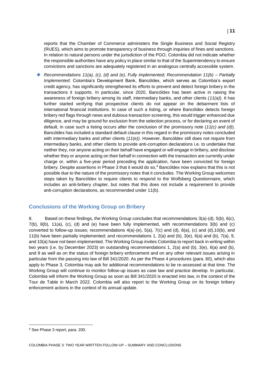reports that the Chamber of Commerce administers the Single Business and Social Registry (RUES), which aims to promote transparency of business through inquiries of fines and sanctions. In relation to natural persons under the jurisdiction of the PGO, Colombia did not indicate whether the responsible authorities have any policy in place similar to that of the Superintendency to ensure convictions and sanctions are adequately registered in an analogous centrally accessible system.

 *Recommendations 11(a), (c), (d) and (e), Fully implemented; Recommendation 11(b) – Partially Implemented:* Colombia's Development Bank, Bancóldex, which serves as Colombia's export credit agency, has significantly strengthened its efforts to prevent and detect foreign bribery in the transactions it supports. In particular, since 2020, Bancóldex has been active in raising the awareness of foreign bribery among its staff, intermediary banks, and other clients (*11(a)*). It has further started verifying that prospective clients do not appear on the debarment lists of international financial institutions. In case of such a listing, or where Bancóldex detects foreign bribery red flags through news and dubious transaction screening, this would trigger enhanced due diligence, and may be ground for exclusion from the selection process, or for declaring an event of default, in case such a listing occurs after the conclusion of the promissory note (*11(c) and (d)*). Bancóldex has included a standard default clause in this regard in the promissory notes concluded with intermediary banks and other clients (*11(e))*. However, Bancóldex still does not require from intermediary banks, and other clients to provide anti-corruption declarations i.e. to undertake that neither they, nor anyone acting on their behalf have engaged or will engage in bribery, and disclose whether they or anyone acting on their behalf in connection with the transaction are currently under charge or, within a five-year period preceding the application, have been convicted for foreign bribery. Despite assertions in Phase 3 that it would do so,<sup>4</sup> Bancóldex now explains that this is not possible due to the nature of the promissory notes that it concludes. The Working Group welcomes steps taken by Bancóldex to require clients to respond to the Wolfsberg Questionnaire, which includes an anti-bribery chapter, but notes that this does not include a requirement to provide anti-corruption declarations, as recommended under 11(b).

## **Conclusions of the Working Group on Bribery**

8. Based on these findings, the Working Group concludes that recommendations  $3(a)-(d)$ ,  $5(b)$ ,  $6(c)$ , 7(b), 8(b), 11(a), (c), (d) and (e) have been fully implemented, with recommendations 3(b) and (c) converted to follow-up issues; recommendations  $4(a)$ -(e),  $5(a)$ ,  $7(c)$  and (d),  $8(a)$ , (c) and (d),10(b), and 11(b) have been partially implemented; and recommendations 1, 2(a) and (b), 3(e), 6(a) and (b), 7(a), 9, and 10(a) have not been implemented. The Working Group invites Colombia to report back in writing within two years (i.e. by December 2023) on outstanding recommendations 1, 2(a) and (b), 3(e), 6(a) and (b), and 9 as well as on the status of foreign bribery enforcement and on any other relevant issues arising in particular from the passing into law of Bill 341/2020. As per the Phase 4 procedures (para. 60), which also apply to Phase 3, Colombia may ask for additional recommendations to be re-assessed at that time. The Working Group will continue to monitor follow-up issues as case law and practice develop. In particular, Colombia will inform the Working Group as soon as Bill 341/2020 is enacted into law, in the context of the Tour de Table in March 2022. Colombia will also report to the Working Group on its foreign bribery enforcement actions in the context of its annual update.

<sup>4</sup> See Phase 3 report, para. 200.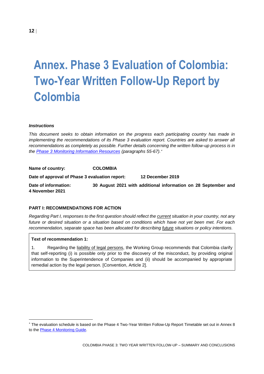# <span id="page-11-0"></span>**Annex. Phase 3 Evaluation of Colombia: Two-Year Written Follow-Up Report by Colombia**

#### *Instructions*

*This document seeks to obtain information on the progress each participating country has made in implementing the recommendations of its Phase 3 evaluation report. Countries are asked to answer all recommendations as completely as possible. Further details concerning the written follow-up process is in the [Phase 3 Monitoring Information Resources](https://www.oecd.org/daf/anti-bribery/anti-briberyconvention/Phase3InformationResourcesManualENG.pdf) (paragraphs 55-67).*

**Name of country: COLOMBIA Date of approval of Phase 3 evaluation report: 12 December 2019 Date of information: 30 August 2021 with additional information on 28 September and 4 November 2021**

#### **PART I: RECOMMENDATIONS FOR ACTION**

*Regarding Part I, responses to the first question should reflect the current situation in your country, not any future or desired situation or a situation based on conditions which have not yet been met. For each recommendation, separate space has been allocated for describing future situations or policy intentions.*

#### **Text of recommendation 1:**

1. Regarding the liability of legal persons, the Working Group recommends that Colombia clarify that self-reporting (i) is possible only prior to the discovery of the misconduct, by providing original information to the Superintendence of Companies and (ii) should be accompanied by appropriate remedial action by the legal person. [Convention, Article 2].

The evaluation schedule is based on the Phase 4 Two-Year Written Follow-Up Report Timetable set out in Annex 8 to the [Phase 4 Monitoring Guide.](https://www.oecd.org/daf/anti-bribery/Phase-4-Guide-ENG.pdf)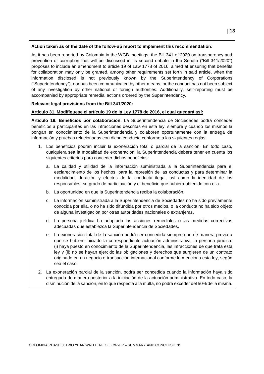#### **Action taken as of the date of the follow-up report to implement this recommendation:**

As it has been reported by Colombia in the WGB meetings, the Bill 341 of 2020 on transparency and prevention of corruption that will be discussed in its second debate in the Senate ("Bill 341/2020") proposes to include an amendment to article 19 of Law 1778 of 2016, aimed at ensuring that benefits for collaboration may only be granted, among other requirements set forth in said article, when the information disclosed is not previously known by the Superintendency of Corporations ("Superintendency"), nor has been communicated by other means, or the conduct has not been subject of any investigation by other national or foreign authorities. Additionally, self-reporting must be accompanied by appropriate remedial actions ordered by the Superintendency.

#### **Relevant legal provisions from the Bill 341/2020:**

#### **Artículo 31. Modifíquese el artículo 19 de la Ley 1778 de 2016, el cual quedará así:**

**Artículo 19. Beneficios por colaboración.** La Superintendencia de Sociedades podrá conceder beneficios a participantes en las infracciones descritas en esta ley, siempre y cuando los mismos la pongan en conocimiento de la Superintendencia y colaboren oportunamente con la entrega de información y pruebas relacionadas con dicha conducta conforme a las siguientes reglas:

- 1. Los beneficios podrán incluir la exoneración total o parcial de la sanción. En todo caso, cualquiera sea la modalidad de exoneración, la Superintendencia deberá tener en cuenta los siguientes criterios para conceder dichos beneficios:
	- a. La calidad y utilidad de la información suministrada a la Superintendencia para el esclarecimiento de los hechos, para la represión de las conductas y para determinar la modalidad, duración y efectos de la conducta ilegal, así como la identidad de los responsables, su grado de participación y el beneficio que hubiera obtenido con ella.
	- b. La oportunidad en que la Superintendencia reciba la colaboración.
	- c. La información suministrada a la Superintendencia de Sociedades no ha sido previamente conocida por ella, o no ha sido difundida por otros medios, o la conducta no ha sido objeto de alguna investigación por otras autoridades nacionales o extranjeras.
	- d. La persona jurídica ha adoptado las acciones remediales o las medidas correctivas adecuadas que establezca la Superintendencia de Sociedades.
	- e. La exoneración total de la sanción podrá ser concedida siempre que de manera previa a que se hubiere iniciado la correspondiente actuación administrativa, la persona jurídica: (i) haya puesto en conocimiento de la Superintendencia, las infracciones de que trata esta ley y (ii) no se hayan ejercido las obligaciones y derechos que surgieren de un contrato originado en un negocio o transacción internacional conforme lo menciona esta ley, según sea el caso.
- 2. La exoneración parcial de la sanción, podrá ser concedida cuando la información haya sido entregada de manera posterior a la iniciación de la actuación administrativa. En todo caso, la disminución de la sanción, en lo que respecta a la multa, no podrá exceder del 50% de la misma.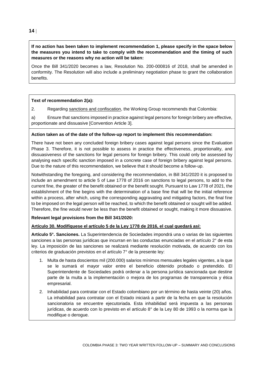#### **If no action has been taken to implement recommendation 1, please specify in the space below the measures you intend to take to comply with the recommendation and the timing of such measures or the reasons why no action will be taken:**

Once the Bill 341/2020 becomes a law, Resolution No. 200-000816 of 2018, shall be amended in conformity. The Resolution will also include a preliminary negotiation phase to grant the collaboration benefits.

#### **Text of recommendation 2(a):**

2. Regarding sanctions and confiscation, the Working Group recommends that Colombia:

a) Ensure that sanctions imposed in practice against legal persons for foreign bribery are effective, proportionate and dissuasive [Convention Article 3].

#### **Action taken as of the date of the follow-up report to implement this recommendation:**

There have not been any concluded foreign bribery cases against legal persons since the Evaluation Phase 3. Therefore, it is not possible to assess in practice the effectiveness, proportionality, and dissuasiveness of the sanctions for legal persons for foreign bribery. This could only be assessed by analysing each specific sanction imposed in a concrete case of foreign bribery against legal persons. Due to the nature of this recommendation, we believe that it should become a follow-up.

Notwithstanding the foregoing, and considering the recommendation, in Bill 341/2020 it is proposed to include an amendment to article 5 of Law 1778 of 2016 on sanctions to legal persons, to add to the current fine, the greater of the benefit obtained or the benefit sought. Pursuant to Law 1778 of 2021, the establishment of the fine begins with the determination of a base fine that will be the initial reference within a process, after which, using the corresponding aggravating and mitigating factors, the final fine to be imposed on the legal person will be reached, to which the benefit obtained or sought will be added. Therefore, the fine would never be less than the benefit obtained or sought, making it more dissuasive.

#### **Relevant legal provisions from the Bill 341/2020:**

## **Artículo 30. Modifíquese el artículo 5 de la Ley 1778 de 2016, el cual quedará así:**

**Artículo 5°. Sanciones.** La Superintendencia de Sociedades impondrá una o varias de las siguientes sanciones a las personas jurídicas que incurran en las conductas enunciadas en el artículo 2° de esta ley. La imposición de las sanciones se realizará mediante resolución motivada, de acuerdo con los criterios de graduación previstos en el artículo 7° de la presente ley:

- 1. Multa de hasta doscientos mil (200.000) salarios mínimos mensuales legales vigentes, a la que se le sumará el mayor valor entre el beneficio obtenido probado o pretendido. El Superintendente de Sociedades podrá ordenar a la persona jurídica sancionada que destine parte de la multa a la implementación o mejora de los programas de transparencia y ética empresarial.
- 2. Inhabilidad para contratar con el Estado colombiano por un término de hasta veinte (20) años. La inhabilidad para contratar con el Estado iniciará a partir de la fecha en que la resolución sancionatoria se encuentre ejecutoriada. Esta inhabilidad será impuesta a las personas jurídicas, de acuerdo con lo previsto en el artículo 8° de la Ley 80 de 1993 o la norma que la modifique o derogue.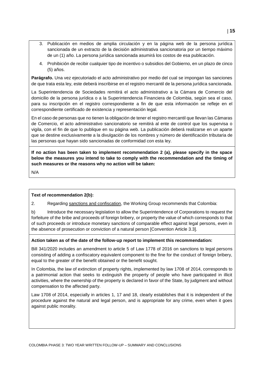- 3. Publicación en medios de amplia circulación y en la página web de la persona jurídica sancionada de un extracto de la decisión administrativa sancionatoria por un tiempo máximo de un (1) año. La persona jurídica sancionada asumirá los costos de esa publicación.
- 4. Prohibición de recibir cualquier tipo de incentivo o subsidios del Gobierno, en un plazo de cinco (5) años.

**Parágrafo.** Una vez ejecutoriado el acto administrativo por medio del cual se impongan las sanciones de que trata esta ley, este deberá inscribirse en el registro mercantil de la persona jurídica sancionada.

La Superintendencia de Sociedades remitirá el acto administrativo a la Cámara de Comercio del domicilio de la persona jurídica o a la Superintendencia Financiera de Colombia, según sea el caso, para su inscripción en el registro correspondiente a fin de que esta información se refleje en el correspondiente certificado de existencia y representación legal.

En el caso de personas que no tienen la obligación de tener el registro mercantil que llevan las Cámaras de Comercio, el acto administrativo sancionatorio se remitirá al ente de control que los supervisa o vigila, con el fin de que lo publique en su página web. La publicación deberá realizarse en un aparte que se destine exclusivamente a la divulgación de los nombres y número de identificación tributaria de las personas que hayan sido sancionadas de conformidad con esta ley.

**If no action has been taken to implement recommendation 2 (a), please specify in the space below the measures you intend to take to comply with the recommendation and the timing of such measures or the reasons why no action will be taken:** 

N/A

#### **Text of recommendation 2(b):**

2. Regarding sanctions and confiscation, the Working Group recommends that Colombia:

b) Introduce the necessary legislation to allow the Superintendence of Corporations to request the forfeiture of the bribe and proceeds of foreign bribery, or property the value of which corresponds to that of such proceeds or introduce monetary sanctions of comparable effect against legal persons, even in the absence of prosecution or conviction of a natural person [Convention Article 3.3].

#### **Action taken as of the date of the follow-up report to implement this recommendation:**

Bill 341/2020 includes an amendment to article 5 of Law 1778 of 2016 on sanctions to legal persons consisting of adding a confiscatory equivalent component to the fine for the conduct of foreign bribery, equal to the greater of the benefit obtained or the benefit sought.

In Colombia, the law of extinction of property rights, implemented by law 1708 of 2014, corresponds to a patrimonial action that seeks to extinguish the property of people who have participated in illicit activities, where the ownership of the property is declared in favor of the State, by judgment and without compensation to the affected party.

Law 1708 of 2014, especially in articles 1, 17 and 18, clearly establishes that it is independent of the procedure against the natural and legal person, and is appropriate for any crime, even when it goes against public morality.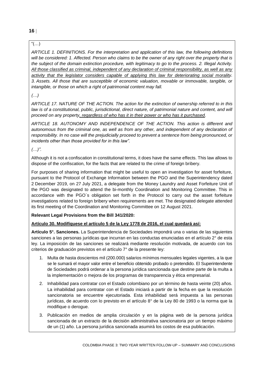## $"(...)$

*ARTICLE 1. DEFINITIONS. For the interpretation and application of this law, the following definitions will be considered: 1. Affected. Person who claims to be the owner of any right over the property that is the subject of the domain extinction procedure, with legitimacy to go to the process. 2. Illegal Activity. All those classified as criminal, independent of any declaration of criminal responsibility, as well as any activity that the legislator considers capable of applying this law for deteriorating social morality. 3. Assets. All those that are susceptible of economic valuation, movable or immovable, tangible, or intangible, or those on which a right of patrimonial content may fall.*

## *(…)*

*ARTICLE 17. NATURE OF THE ACTION. The action for the extinction of ownership referred to in this*  law is of a constitutional, public, jurisdictional, direct nature, of patrimonial nature and content, and will *proceed on any property, regardless of who has it in their power or who has it purchased.*

*ARTICLE 18. AUTONOMY AND INDEPENDENCE OF THE ACTION. This action is different and autonomous from the criminal one, as well as from any other, and independent of any declaration of responsibility. In no case will the prejudicially proceed to prevent a sentence from being pronounced, or incidents other than those provided for in this law".*

## *(…)".*

Although it is not a confiscation in constitutional terms, it does have the same effects. This law allows to dispose of the confiscation, for the facts that are related to the crime of foreign bribery.

For purposes of sharing information that might be useful to open an investigation for asset forfeiture, pursuant to the Protocol of Exchange Information between the PGO and the Superintendency dated 2 December 2019, on 27 July 2021, a delegate from the Money Laundry and Asset Forfeiture Unit of the PGO was designated to attend the bi-monthly Coordination and Monitoring Committee. This in accordance with the PGO´s obligation set forth in the Protocol to carry out the asset forfeiture investigations related to foreign bribery when requirements are met. The designated delegate attended its first meeting of the Coordination and Monitoring Committee on 12 August 2021.

## **Relevant Legal Provisions from the Bill 341/2020:**

## **Artículo 30. Modifíquese el artículo 5 de la Ley 1778 de 2016, el cual quedará así:**

**Artículo 5°. Sanciones.** La Superintendencia de Sociedades impondrá una o varias de las siguientes sanciones a las personas jurídicas que incurran en las conductas enunciadas en el artículo 2° de esta ley. La imposición de las sanciones se realizará mediante resolución motivada, de acuerdo con los criterios de graduación previstos en el artículo 7° de la presente ley:

- 1. Multa de hasta doscientos mil (200.000) salarios mínimos mensuales legales vigentes, a la que se le sumará el mayor valor entre el beneficio obtenido probado o pretendido. El Superintendente de Sociedades podrá ordenar a la persona jurídica sancionada que destine parte de la multa a la implementación o mejora de los programas de transparencia y ética empresarial.
- 2. Inhabilidad para contratar con el Estado colombiano por un término de hasta veinte (20) años. La inhabilidad para contratar con el Estado iniciará a partir de la fecha en que la resolución sancionatoria se encuentre ejecutoriada. Esta inhabilidad será impuesta a las personas jurídicas, de acuerdo con lo previsto en el artículo 8° de la Ley 80 de 1993 o la norma que la modifique o derogue.
- 3. Publicación en medios de amplia circulación y en la página web de la persona jurídica sancionada de un extracto de la decisión administrativa sancionatoria por un tiempo máximo de un (1) año. La persona jurídica sancionada asumirá los costos de esa publicación.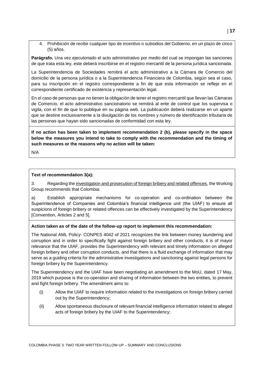4. Prohibición de recibir cualquier tipo de incentivo o subsidios del Gobierno, en un plazo de cinco (5) años.

**Parágrafo.** Una vez ejecutoriado el acto administrativo por medio del cual se impongan las sanciones de que trata esta ley, este deberá inscribirse en el registro mercantil de la persona jurídica sancionada.

La Superintendencia de Sociedades remitirá el acto administrativo a la Cámara de Comercio del domicilio de la persona jurídica o a la Superintendencia Financiera de Colombia, según sea el caso, para su inscripción en el registro correspondiente a fin de que esta información se refleje en el correspondiente certificado de existencia y representación legal.

En el caso de personas que no tienen la obligación de tener el registro mercantil que llevan las Cámaras de Comercio, el acto administrativo sancionatorio se remitirá al ente de control que los supervisa o vigila, con el fin de que lo publique en su página web. La publicación deberá realizarse en un aparte que se destine exclusivamente a la divulgación de los nombres y número de identificación tributaria de las personas que hayan sido sancionadas de conformidad con esta ley.

**If no action has been taken to implement recommendation 2 (b), please specify in the space below the measures you intend to take to comply with the recommendation and the timing of such measures or the reasons why no action will be taken:** 

N/A

#### **Text of recommendation 3(a):**

3. Regarding the investigation and prosecution of foreign bribery and related offences, the Working Group recommends that Colombia:

a) Establish appropriate mechanisms for co-operation and co-ordination between the Superintendence of Companies and Colombia's financial intelligence unit (the UIAF) to ensure all suspicions of foreign bribery or related offences can be effectively investigated by the Superintendency [Convention, Articles 2 and 5].

#### **Action taken as of the date of the follow-up report to implement this recommendation:**

The National AML Policy- CONPES 4042 of 2021 recognizes the link between money laundering and corruption and in order to specifically fight against foreign bribery and other conducts, it is of mayor relevance that the UIAF, provides the Superintendency with relevant and timely information on alleged foreign bribery and other corruption conducts, and that there is a fluid exchange of information that may serve as a guiding criteria for the administrative investigations and sanctioning against legal persons for foreign bribery by the Superintendency.

The Superintendency and the UIAF have been negotiating an amendment to the MoU, dated 17 May, 2019 which purpose is the co-operation and sharing of information between the two entities, to prevent and fight foreign bribery. The amendment aims to:

- (i) Allow the UIAF to require information related to the investigations on foreign bribery carried out by the Superintendency;
- (ii) Allow spontaneous disclosure of relevant financial intelligence information related to alleged acts of foreign bribery by the UIAF to the Superintendency;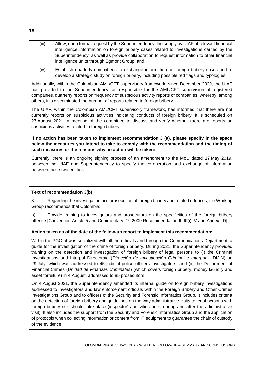- (iii) Allow, upon formal request by the Superintendency, the supply by UIAF of relevant financial intelligence information on foreign bribery cases related to investigations carried by the Superintendency, as well as provide collaboration to request information to other financial intelligence units through Egmont Group, and
- (iv) Establish quarterly committees to exchange information on foreign bribery cases and to develop a strategic study on foreign bribery, including possible red flags and typologies.

Additionally, within the Colombian AML/CFT supervisory framework, since December 2020, the UIAF has provided to the Superintendency, as responsible for the AML/CFT supervision of registered companies, quarterly reports on frequency of suspicious activity reports of companies, whereby, among others, it is discriminated the number of reports related to foreign bribery.

The UIAF, within the Colombian AML/CFT supervisory framework, has informed that there are not currently reports on suspicious activities indicating conducts of foreign bribery. It is scheduled on 27 August 2021, a meeting of the committee to discuss and verify whether there are reports on suspicious activities related to foreign bribery.

**If no action has been taken to implement recommendation 3 (a), please specify in the space below the measures you intend to take to comply with the recommendation and the timing of such measures or the reasons why no action will be taken:** 

Currently, there is an ongoing signing process of an amendment to the MoU dated 17 May 2019, between the UIAF and Superintendency to specify the co-operation and exchange of information between these two entities.

## **Text of recommendation 3(b):**

3. Regarding the investigation and prosecution of foreign bribery and related offences, the Working Group recommends that Colombia:

b) Provide training to investigators and prosecutors on the specificities of the foreign bribery offence [Convention Article 5 and Commentary 27; 2009 Recommendation II, III(i), V and Annex I.D].

#### **Action taken as of the date of the follow-up report to implement this recommendation:**

Within the PGO, it was socialized with all the officials and through the Communications Department, a guide for the investigation of the crime of foreign bribery. During 2021, the Superintendency provided training on the detection and investigation of foreign bribery of legal persons to (i) the Criminal Investigations and Interpol Directorate (*Dirección de Investigación Criminal e Interpol* – DIJIN) on 29 July, which was addressed to 45 judicial police officers investigators, and (ii) the Department of Financial Crimes (*Unidad de Finanzas Criminales*) (which covers foreign bribery, money laundry and asset forfeiture) in 4 August, addressed to 85 prosecutors.

On 4 August 2021, the Superintendency amended its internal guide on foreign bribery investigations addressed to investigators and law enforcement officials within the Foreign Bribery and Other Crimes Investigations Group and to officers of the Security and Forensic Informatics Group. It includes criteria on the detection of foreign bribery and guidelines on the way administrative visits to legal persons with foreign bribery risk should take place (inspector´s activities prior, during and after the administrative visit). It also includes the support from the Security and Forensic Informatics Group and the application of protocols when collecting information or content from IT equipment to guarantee the chain of custody of the evidence.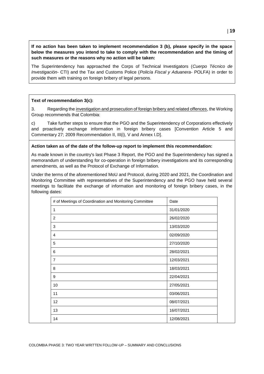**If no action has been taken to implement recommendation 3 (b), please specify in the space below the measures you intend to take to comply with the recommendation and the timing of such measures or the reasons why no action will be taken:** 

The Superintendency has approached the Corps of Technical Investigators (*Cuerpo Técnico de Investigación*- CTI) and the Tax and Customs Police (*Policía Fiscal y Aduanera*- POLFA) in order to provide them with training on foreign bribery of legal persons.

#### **Text of recommendation 3(c):**

3. Regarding the investigation and prosecution of foreign bribery and related offences, the Working Group recommends that Colombia:

c) Take further steps to ensure that the PGO and the Superintendency of Corporations effectively and proactively exchange information in foreign bribery cases [Convention Article 5 and Commentary 27; 2009 Recommendation II, III(i), V and Annex I.D].

#### **Action taken as of the date of the follow-up report to implement this recommendation:**

As made known in the country's last Phase 3 Report, the PGO and the Superintendency has signed a memorandum of understanding for co-operation in foreign bribery investigations and its corresponding amendments, as well as the Protocol of Exchange of Information.

Under the terms of the aforementioned MoU and Protocol, during 2020 and 2021, the Coordination and Monitoring Committee with representatives of the Superintendency and the PGO have held several meetings to facilitate the exchange of information and monitoring of foreign bribery cases, in the following dates:

| # of Meetings of Coordination and Monitoring Committee | Date       |
|--------------------------------------------------------|------------|
| 1                                                      | 31/01/2020 |
| 2                                                      | 26/02/2020 |
| 3                                                      | 13/03/2020 |
| $\overline{4}$                                         | 02/09/2020 |
| 5                                                      | 27/10/2020 |
| 6                                                      | 28/02/2021 |
| $\overline{7}$                                         | 12/03/2021 |
| 8                                                      | 18/03/2021 |
| 9                                                      | 22/04/2021 |
| 10                                                     | 27/05/2021 |
| 11                                                     | 03/06/2021 |
| 12                                                     | 08/07/2021 |
| 13                                                     | 16/07/2021 |
| 14                                                     | 12/08/2021 |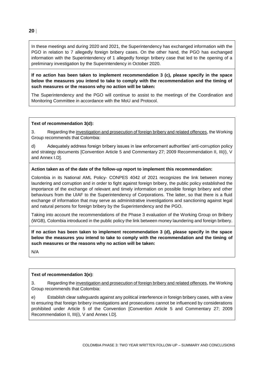In these meetings and during 2020 and 2021, the Superintendency has exchanged information with the PGO in relation to 7 allegedly foreign bribery cases. On the other hand, the PGO has exchanged information with the Superintendency of 1 allegedly foreign bribery case that led to the opening of a preliminary investigation by the Superintendency in October 2020.

**If no action has been taken to implement recommendation 3 (c), please specify in the space below the measures you intend to take to comply with the recommendation and the timing of such measures or the reasons why no action will be taken:** 

The Superintendency and the PGO will continue to assist to the meetings of the Coordination and Monitoring Committee in accordance with the MoU and Protocol.

#### **Text of recommendation 3(d):**

3. Regarding the investigation and prosecution of foreign bribery and related offences, the Working Group recommends that Colombia:

d) Adequately address foreign bribery issues in law enforcement authorities' anti-corruption policy and strategy documents [Convention Article 5 and Commentary 27; 2009 Recommendation II, III(i), V and Annex I.D].

#### **Action taken as of the date of the follow-up report to implement this recommendation:**

Colombia in its National AML Policy- CONPES 4042 of 2021 recognizes the link between money laundering and corruption and in order to fight against foreign bribery, the public policy established the importance of the exchange of relevant and timely information on possible foreign bribery and other behaviours from the UIAF to the Superintendency of Corporations. The latter, so that there is a fluid exchange of information that may serve as administrative investigations and sanctioning against legal and natural persons for foreign bribery by the Superintendency and the PGO.

Taking into account the recommendations of the Phase 3 evaluation of the Working Group on Bribery (WGB), Colombia introduced in the public policy the link between money laundering and foreign bribery.

**If no action has been taken to implement recommendation 3 (d), please specify in the space below the measures you intend to take to comply with the recommendation and the timing of such measures or the reasons why no action will be taken:** 

N/A

#### **Text of recommendation 3(e):**

3. Regarding the investigation and prosecution of foreign bribery and related offences, the Working Group recommends that Colombia:

e) Establish clear safeguards against any political interference in foreign bribery cases, with a view to ensuring that foreign bribery investigations and prosecutions cannot be influenced by considerations prohibited under Article 5 of the Convention [Convention Article 5 and Commentary 27; 2009 Recommendation II, III(i), V and Annex I.D].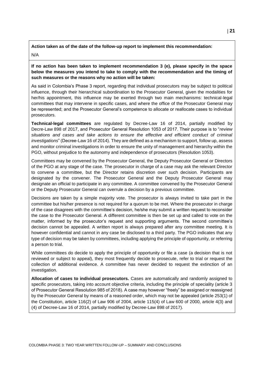**Action taken as of the date of the follow-up report to implement this recommendation:** N/A

**If no action has been taken to implement recommendation 3 (e), please specify in the space below the measures you intend to take to comply with the recommendation and the timing of such measures or the reasons why no action will be taken:** 

As said in Colombia's Phase 3 report, regarding that individual prosecutors may be subject to political influence, through their hierarchical subordination to the Prosecutor General, given the modalities for her/his appointment, this influence may be exerted through two main mechanisms: technical-legal committees that may intervene in specific cases, and where the office of the Prosecutor General may be represented; and the Prosecutor General's competence to allocate or reallocate cases to individual prosecutors.

**Technical-legal committees** are regulated by Decree-Law 16 of 2014, partially modified by Decre-Law 898 of 2017, and Prosecutor General Resolution 1053 of 2017. Their purpose is to "*review situations and cases and take actions to ensure the effective and efficient conduct of criminal investigations*" (Decree-Law 16 of 2014). They are defined as a mechanism to support, follow up, assess and monitor criminal investigations in order to ensure the unity of management and hierarchy within the PGO, without prejudice to the autonomy and independence of prosecutors (Resolution 1053).

Committees may be convened by the Prosecutor General, the Deputy Prosecutor General or Directors of the PGO at any stage of the case. The prosecutor in charge of a case may ask the relevant Director to convene a committee, but the Director retains discretion over such decision. Participants are designated by the convener. The Prosecutor General and the Deputy Prosecutor General may designate an official to participate in any committee. A committee convened by the Prosecutor General or the Deputy Prosecutor General can overrule a decision by a previous committee.

Decisions are taken by a simple majority vote. The prosecutor is always invited to take part in the committee but his/her presence is not required for a quorum to be met. Where the prosecutor in charge of the case disagrees with the committee's decision, he/she may submit a written request to reconsider the case to the Prosecutor General. A different committee is then be set up and called to vote on the matter, informed by the prosecutor's request and supporting arguments. The second committee's decision cannot be appealed. A written report is always prepared after any committee meeting. It is however confidential and cannot in any case be disclosed to a third party. The PGO indicates that any type of decision may be taken by committees, including applying the principle of opportunity, or referring a person to trial.

While committees do decide to apply the principle of opportunity or file a case (a decision that is not reviewed or subject to appeal), they most frequently decide to prosecute, refer to trial or request the collection of additional evidence. A committee has never decided to request the extinction of an investigation.

**Allocation of cases to individual prosecutors.** Cases are automatically and randomly assigned to specific prosecutors, taking into account objective criteria, including the principle of speciality (article 3 of Prosecutor General Resolution 985 of 2018). A case may however "freely" be assigned or reassigned by the Prosecutor General by means of a reasoned order, which may not be appealed (article 253(1) of the Constitution, article 116(2) of Law 906 of 2004, article 115(4) of Law 600 of 2000, article 4(3) and (4) of Decree-Law 16 of 2014, partially modified by Decree-Law 898 of 2017).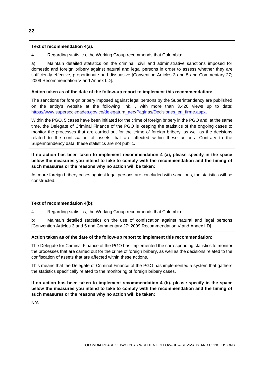#### **Text of recommendation 4(a):**

4. Regarding statistics, the Working Group recommends that Colombia:

a) Maintain detailed statistics on the criminal, civil and administrative sanctions imposed for domestic and foreign bribery against natural and legal persons in order to assess whether they are sufficiently effective, proportionate and dissuasive [Convention Articles 3 and 5 and Commentary 27; 2009 Recommendation V and Annex I.D].

#### **Action taken as of the date of the follow-up report to implement this recommendation:**

The sanctions for foreign bribery imposed against legal persons by the Superintendency are published on the entity's website at the following link, , with more than 3.420 views up to date: [https://www.supersociedades.gov.co/delegatura\\_aec/Paginas/Decisiones\\_en\\_firme.aspx.](https://www.supersociedades.gov.co/delegatura_aec/Paginas/Decisiones_en_firme.aspx)

Within the PGO, 5 cases have been initiated for the crime of foreign bribery in the PGO and, at the same time, the Delegate of Criminal Finance of the PGO is keeping the statistics of the ongoing cases to monitor the processes that are carried out for the crime of foreign bribery, as well as the decisions related to the confiscation of assets that are affected within these actions. Contrary to the Superintendency data, these statistics are not public.

**If no action has been taken to implement recommendation 4 (a), please specify in the space below the measures you intend to take to comply with the recommendation and the timing of such measures or the reasons why no action will be taken:** 

As more foreign bribery cases against legal persons are concluded with sanctions, the statistics will be constructed.

#### **Text of recommendation 4(b):**

4. Regarding statistics, the Working Group recommends that Colombia:

b) Maintain detailed statistics on the use of confiscation against natural and legal persons [Convention Articles 3 and 5 and Commentary 27; 2009 Recommendation V and Annex I.D].

#### **Action taken as of the date of the follow-up report to implement this recommendation:**

The Delegate for Criminal Finance of the PGO has implemented the corresponding statistics to monitor the processes that are carried out for the crime of foreign bribery, as well as the decisions related to the confiscation of assets that are affected within these actions.

This means that the Delegate of Criminal Finance of the PGO has implemented a system that gathers the statistics specifically related to the monitoring of foreign bribery cases.

**If no action has been taken to implement recommendation 4 (b), please specify in the space below the measures you intend to take to comply with the recommendation and the timing of such measures or the reasons why no action will be taken:** 

N/A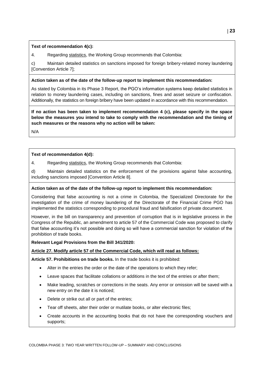#### **Text of recommendation 4(c):**

4. Regarding statistics, the Working Group recommends that Colombia:

c) Maintain detailed statistics on sanctions imposed for foreign bribery-related money laundering [Convention Article 7];

#### **Action taken as of the date of the follow-up report to implement this recommendation:**

As stated by Colombia in its Phase 3 Report, the PGO's information systems keep detailed statistics in relation to money laundering cases, including on sanctions, fines and asset seizure or confiscation. Additionally, the statistics on foreign bribery have been updated in accordance with this recommendation.

**If no action has been taken to implement recommendation 4 (c), please specify in the space below the measures you intend to take to comply with the recommendation and the timing of such measures or the reasons why no action will be taken:** 

N/A

## **Text of recommendation 4(d):**

4. Regarding statistics, the Working Group recommends that Colombia:

d) Maintain detailed statistics on the enforcement of the provisions against false accounting, including sanctions imposed [Convention Article 8].

#### **Action taken as of the date of the follow-up report to implement this recommendation:**

Considering that false accounting is not a crime in Colombia, the Specialized Directorate for the investigation of the crime of money laundering of the Directorate of the Financial Crime PGO has implemented the statistics corresponding to procedural fraud and falsification of private document.

However, in the bill on transparency and prevention of corruption that is in legislative process in the Congress of the Republic, an amendment to article 57 of the Commercial Code was proposed to clarify that false accounting it's not possible and doing so will have a commercial sanction for violation of the prohibition of trade books.

#### **Relevant Legal Provisions from the Bill 341/2020:**

#### **Article 27. Modify article 57 of the Commercial Code, which will read as follows:**

**Article 57. Prohibitions on trade books.** In the trade books it is prohibited:

- Alter in the entries the order or the date of the operations to which they refer;
- Leave spaces that facilitate collations or additions in the text of the entries or after them;
- Make leading, scratches or corrections in the seats. Any error or omission will be saved with a new entry on the date it is noticed;
- Delete or strike out all or part of the entries;
- Tear off sheets, alter their order or mutilate books, or alter electronic files;
- Create accounts in the accounting books that do not have the corresponding vouchers and supports;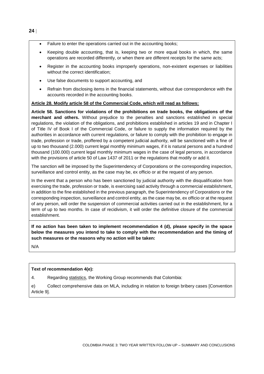- Failure to enter the operations carried out in the accounting books;
- Keeping double accounting, that is, keeping two or more equal books in which, the same operations are recorded differently, or when there are different receipts for the same acts;
- Register in the accounting books improperly operations, non-existent expenses or liabilities without the correct identification;
- Use false documents to support accounting, and
- Refrain from disclosing items in the financial statements, without due correspondence with the accounts recorded in the accounting books.

#### **Article 28. Modify article 58 of the Commercial Code, which will read as follows:**

**Article 58. Sanctions for violations of the prohibitions on trade books, the obligations of the merchant and others.** Without prejudice to the penalties and sanctions established in special regulations, the violation of the obligations, and prohibitions established in articles 19 and in Chapter I of Title IV of Book I of the Commercial Code, or failure to supply the information required by the authorities in accordance with current regulations, or failure to comply with the prohibition to engage in trade, profession or trade, proffered by a competent judicial authority, will be sanctioned with a fine of up to two thousand (2.000) current legal monthly minimum wages, if it is natural persons and a hundred thousand (100.000) current legal monthly minimum wages in the case of legal persons, in accordance with the provisions of article 50 of Law 1437 of 2011 or the regulations that modify or add it.

The sanction will be imposed by the Superintendency of Corporations or the corresponding inspection, surveillance and control entity, as the case may be, ex officio or at the request of any person.

In the event that a person who has been sanctioned by judicial authority with the disqualification from exercising the trade, profession or trade, is exercising said activity through a commercial establishment, in addition to the fine established in the previous paragraph, the Superintendency of Corporations or the corresponding inspection, surveillance and control entity, as the case may be, ex officio or at the request of any person, will order the suspension of commercial activities carried out in the establishment, for a term of up to two months. In case of recidivism, it will order the definitive closure of the commercial establishment.

**If no action has been taken to implement recommendation 4 (d), please specify in the space below the measures you intend to take to comply with the recommendation and the timing of such measures or the reasons why no action will be taken:** 

N/A

#### **Text of recommendation 4(e):**

4. Regarding statistics, the Working Group recommends that Colombia:

e) Collect comprehensive data on MLA, including in relation to foreign bribery cases [Convention Article 9].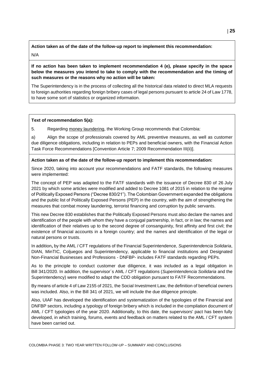**Action taken as of the date of the follow-up report to implement this recommendation:** N/A

**If no action has been taken to implement recommendation 4 (e), please specify in the space below the measures you intend to take to comply with the recommendation and the timing of such measures or the reasons why no action will be taken:** 

The Superintendency is in the process of collecting all the historical data related to direct MLA requests to foreign authorities regarding foreign bribery cases of legal persons pursuant to article 24 of Law 1778, to have some sort of statistics or organized information.

#### **Text of recommendation 5(a):**

5. Regarding money laundering, the Working Group recommends that Colombia:

a) Align the scope of professionals covered by AML preventive measures, as well as customer due diligence obligations, including in relation to PEPs and beneficial owners, with the Financial Action Task Force Recommendations [Convention Article 7; 2009 Recommendation III(ii)].

#### **Action taken as of the date of the follow-up report to implement this recommendation:**

Since 2020, taking into account your recommendations and FATF standards, the following measures were implemented:

The concept of PEP was adapted to the FATF standards with the issuance of Decree 830 of 26 July 2021 by which some articles were modified and added to Decree 1081 of 2015 in relation to the regime of Politically Exposed Persons ("Decree 830/21"). The Colombian Government expanded the obligations and the public list of Politically Exposed Persons (PEP) in the country, with the aim of strengthening the measures that combat money laundering, terrorist financing and corruption by public servants.

This new Decree 830 establishes that the Politically Exposed Persons must also declare the names and identification of the people with whom they have a conjugal partnership, in fact, or in law; the names and identification of their relatives up to the second degree of consanguinity, first affinity and first civil; the existence of financial accounts in a foreign country; and the names and identification of the legal or natural persons or trusts.

In addition**,** by the AML / CFT regulations of the Financial Superintendence, *Superintendencia Solidaria*, DIAN, MinTIC, Coljuegos and Superintendency, applicable to financial institutions and Designated Non-Financial Businesses and Professions - DNFBP- includes FATF standards regarding PEPs.

As to the principle to conduct customer due diligence, it was included as a legal obligation in Bill 341/2020. In addition, the supervisor´s AML / CFT regulations (*Superintendencia Soilidaria* and the Superintendency) were modified to adapt the CDD obligation pursuant to FATF Recommendations.

By means of article 4 of Law 2155 of 2021, the Social Investment Law, the definition of beneficial owners was included. Also, in the Bill 341 of 2021, we will include the due diligence principle.

Also, UIAF has developed the identification and systematization of the typologies of the Financial and DNFBP sectors, including a typology of foreign bribery which is included in the compilation document of AML / CFT typologies of the year 2020. Additionally, to this date, the supervisors' pact has been fully developed, in which training, forums, events and feedback on matters related to the AML / CFT system have been carried out.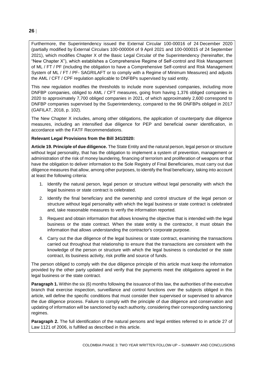Furthermore, the Superintendency issued the External Circular 100-00016 of 24 December 2020 (partially modified by External Circulars 100-000004 of 9 April 2021 and 100-000015 of 24 September 2021), which modifies Chapter X of the Basic Legal Circular of the Superintendency (hereinafter, the "New Chapter X"), which establishes a Comprehensive Regime of Self-control and Risk Management of ML / FT / PF (including the obligation to have a Comprehensive Self-control and Risk Management System of ML / FT / PF- SAGRILAFT or to comply with a Regime of Minimum Measures) and adjusts the AML / CFT / CPF regulation applicable to DNFBPs supervised by said entity.

This new regulation modifies the thresholds to include more supervised companies, including more DNFBP companies, obliged to AML / CFT measures, going from having 1,376 obliged companies in 2020 to approximately 7,700 obliged companies in 2021, of which approximately 2,600 correspond to DNFBP companies supervised by the Superintendency, compared to the 96 DNFBPs obliged in 2017 (GAFILAT, 2018, p. 102).

The New Chapter X includes, among other obligations, the application of counterparty due diligence measures, including an intensified due diligence for PEP and beneficial owner identification, in accordance with the FATF Recommendations.

#### **Relevant Legal Provisions from the Bill 341/2020:**

**Article 19. Principle of due diligence.** The State Entity and the natural person, legal person or structure without legal personality, that has the obligation to implement a system of prevention, management or administration of the risk of money laundering, financing of terrorism and proliferation of weapons or that have the obligation to deliver information to the Sole Registry of Final Beneficiaries, must carry out due diligence measures that allow, among other purposes, to identify the final beneficiary, taking into account at least the following criteria:

- 1. Identify the natural person, legal person or structure without legal personality with which the legal business or state contract is celebrated.
- 2. Identify the final beneficiary and the ownership and control structure of the legal person or structure without legal personality with which the legal business or state contract is celebrated and, take reasonable measures to verify the information reported.
- 3. Request and obtain information that allows knowing the objective that is intended with the legal business or the state contract. When the state entity is the contractor, it must obtain the information that allows understanding the contractor's corporate purpose.
- 4. Carry out the due diligence of the legal business or state contract, examining the transactions carried out throughout that relationship to ensure that the transactions are consistent with the knowledge of the person or structure with which the legal business is conducted or the state contract, its business activity, risk profile and source of funds.

The person obliged to comply with the due diligence principle of this article must keep the information provided by the other party updated and verify that the payments meet the obligations agreed in the legal business or the state contract.

**Paragraph 1.** Within the six (6) months following the issuance of this law, the authorities of the executive branch that exercise inspection, surveillance and control functions over the subjects obliged in this article, will define the specific conditions that must consider their supervised or supervised to advance the due diligence process. Failure to comply with the principle of due diligence and conservation and updating of information will be sanctioned by each authority, considering their corresponding sanctioning regimes.

**Paragraph 2.** The full identification of the natural persons and legal entities referred to in article 27 of Law 1121 of 2006, is fulfilled as described in this article.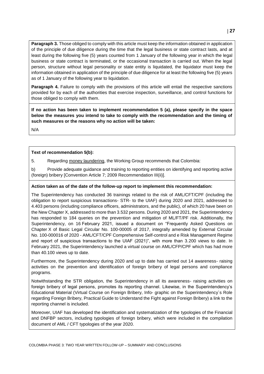**Paragraph 3.** Those obliged to comply with this article must keep the information obtained in application of the principle of due diligence during the time that the legal business or state contract lasts, and at least during the following five (5) years counted from 1 January of the following year in which the legal business or state contract is terminated, or the occasional transaction is carried out. When the legal person, structure without legal personality or state entity is liquidated, the liquidator must keep the information obtained in application of the principle of due diligence for at least the following five (5) years as of 1 January of the following year to liquidation.

**Paragraph 4.** Failure to comply with the provisions of this article will entail the respective sanctions provided for by each of the authorities that exercise inspection, surveillance, and control functions for those obliged to comply with them.

**If no action has been taken to implement recommendation 5 (a), please specify in the space below the measures you intend to take to comply with the recommendation and the timing of such measures or the reasons why no action will be taken:** 

N/A

#### **Text of recommendation 5(b):**

5. Regarding money laundering, the Working Group recommends that Colombia:

b) Provide adequate guidance and training to reporting entities on identifying and reporting active (foreign) bribery [Convention Article 7; 2009 Recommendation III(ii)].

#### **Action taken as of the date of the follow-up report to implement this recommendation:**

The Superintendency has conducted 36 trainings related to the risk of AML/CFT/CPF (including the obligation to report suspicious transactions- STR- to the UIAF) during 2020 and 2021, addressed to 4.403 persons (including compliance officers, administrators, and the public), of which 20 have been on the New Chapter X, addressed to more than 3.532 persons. During 2020 and 2021, the Superintendency has responded to 184 queries on the prevention and mitigation of ML/FT/PF risk. Additionally, the Superintendency, on 16 February 2021, issued a document on "Frequently Asked Questions on Chapter X of Basic Legal Circular No. 100-00005 of 2017, integrally amended by External Circular No. 100-000016 of 2020 - AML/CFT/CPF Comprehensive Self-control and e Risk Management Regime and report of suspicious transactions to the UIAF (2021)", with more than 3.200 views to date. In February 2021, the Superintendency launched a virtual course on AML/CFP/CPF which has had more than 40.100 views up to date.

Furthermore, the Superintendency during 2020 and up to date has carried out 14 awareness- raising activities on the prevention and identification of foreign bribery of legal persons and compliance programs.

Notwithstanding the STR obligation, the Superintendency in all its awareness- raising activities on foreign bribery of legal persons, promotes its reporting channel. Likewise, in the Superintendency's Educational Material (Virtual Course on Foreign Bribery, Info- graphic on the Superintendency´s Role regarding Foreign Bribery, Practical Guide to Understand the Fight against Foreign Bribery) a link to the reporting channel is included.

Moreover, UIAF has developed the identification and systematization of the typologies of the Financial and DNFBP sectors, including typologies of foreign bribery, which were included in the compilation document of AML / CFT typologies of the year 2020.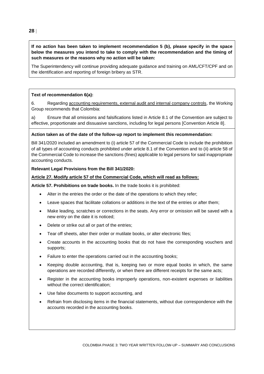#### **If no action has been taken to implement recommendation 5 (b), please specify in the space below the measures you intend to take to comply with the recommendation and the timing of such measures or the reasons why no action will be taken:**

The Superintendency will continue providing adequate guidance and training on AML/CFT/CPF and on the identification and reporting of foreign bribery as STR.

#### **Text of recommendation 6(a):**

6. Regarding accounting requirements, external audit and internal company controls, the Working Group recommends that Colombia:

a) Ensure that all omissions and falsifications listed in Article 8.1 of the Convention are subject to effective, proportionate and dissuasive sanctions, including for legal persons [Convention Article 8].

#### **Action taken as of the date of the follow-up report to implement this recommendation:**

Bill 341/2020 included an amendment to (i) article 57 of the Commercial Code to include the prohibition of all types of accounting conducts prohibited under article 8.1 of the Convention and to (ii) article 58 of the Commercial Code to increase the sanctions (fines) applicable to legal persons for said inappropriate accounting conducts.

#### **Relevant Legal Provisions from the Bill 341/2020:**

#### **Article 27. Modify article 57 of the Commercial Code, which will read as follows:**

**Article 57. Prohibitions on trade books.** In the trade books it is prohibited:

- Alter in the entries the order or the date of the operations to which they refer;
- Leave spaces that facilitate collations or additions in the text of the entries or after them;
- Make leading, scratches or corrections in the seats. Any error or omission will be saved with a new entry on the date it is noticed;
- Delete or strike out all or part of the entries;
- Tear off sheets, alter their order or mutilate books, or alter electronic files;
- Create accounts in the accounting books that do not have the corresponding vouchers and supports;
- Failure to enter the operations carried out in the accounting books:
- Keeping double accounting, that is, keeping two or more equal books in which, the same operations are recorded differently, or when there are different receipts for the same acts;
- Register in the accounting books improperly operations, non-existent expenses or liabilities without the correct identification;
- Use false documents to support accounting, and
- Refrain from disclosing items in the financial statements, without due correspondence with the accounts recorded in the accounting books.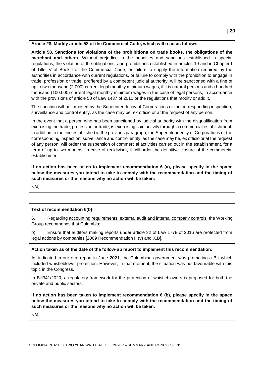#### **Article 28. Modify article 58 of the Commercial Code, which will read as follows:**

**Article 58. Sanctions for violations of the prohibitions on trade books, the obligations of the merchant and others.** Without prejudice to the penalties and sanctions established in special regulations, the violation of the obligations, and prohibitions established in articles 19 and in Chapter I of Title IV of Book I of the Commercial Code, or failure to supply the information required by the authorities in accordance with current regulations, or failure to comply with the prohibition to engage in trade, profession or trade, proffered by a competent judicial authority, will be sanctioned with a fine of up to two thousand (2.000) current legal monthly minimum wages, if it is natural persons and a hundred thousand (100.000) current legal monthly minimum wages in the case of legal persons, in accordance with the provisions of article 50 of Law 1437 of 2011 or the regulations that modify or add it.

The sanction will be imposed by the Superintendency of Corporations or the corresponding inspection, surveillance and control entity, as the case may be, ex officio or at the request of any person.

In the event that a person who has been sanctioned by judicial authority with the disqualification from exercising the trade, profession or trade, is exercising said activity through a commercial establishment, in addition to the fine established in the previous paragraph, the Superintendency of Corporations or the corresponding inspection, surveillance and control entity, as the case may be, ex officio or at the request of any person, will order the suspension of commercial activities carried out in the establishment, for a term of up to two months. In case of recidivism, it will order the definitive closure of the commercial establishment.

**If no action has been taken to implement recommendation 6 (a), please specify in the space below the measures you intend to take to comply with the recommendation and the timing of such measures or the reasons why no action will be taken:** 

N/A

#### **Text of recommendation 6(b):**

6. Regarding accounting requirements, external audit and internal company controls, the Working Group recommends that Colombia:

b) Ensure that auditors making reports under article 32 of Law 1778 of 2016 are protected from legal actions by companies [2009 Recommendation III(v) and X.B].

#### **Action taken as of the date of the follow-up report to implement this recommendation:**

As indicated in our oral report in June 2021, the Colombian government was promoting a Bill which included whistleblower protection. However, in that moment, the situation was not favourable with this topic in the Congress.

In Bill341/2020, a regulatory framework for the protection of whistleblowers is proposed for both the private and public sectors.

**If no action has been taken to implement recommendation 6 (b), please specify in the space below the measures you intend to take to comply with the recommendation and the timing of such measures or the reasons why no action will be taken:** 

N/A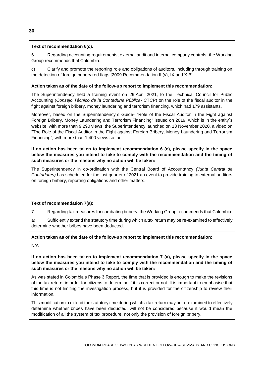#### **Text of recommendation 6(c):**

6. Regarding accounting requirements, external audit and internal company controls, the Working Group recommends that Colombia:

c) Clarify and promote the reporting role and obligations of auditors, including through training on the detection of foreign bribery red flags [2009 Recommendation III(v), IX and X.B].

#### **Action taken as of the date of the follow-up report to implement this recommendation:**

The Superintendency held a training event on 29 April 2021, to the Technical Council for Public Accounting (*Consejo Técnico de la Contaduría Pública*- CTCP) on the role of the fiscal auditor in the fight against foreign bribery, money laundering and terrorism financing, which had 179 assistants.

Moreover, based on the Superintendency´s Guide- "Role of the Fiscal Auditor in the Fight against Foreign Bribery, Money Laundering and Terrorism Financing" issued on 2019, which is in the entity´s website, with more than 9.290 views, the Superintendency launched on 13 November 2020, a video on "The Role of the Fiscal Auditor in the Fight against Foreign Bribery, Money Laundering and Terrorism Financing", with more than 1.400 views so far.

**If no action has been taken to implement recommendation 6 (c), please specify in the space below the measures you intend to take to comply with the recommendation and the timing of such measures or the reasons why no action will be taken:** 

The Superintendency in co-ordination with the Central Board of Accountancy *(Junta Central de Contadores)* has scheduled for the last quarter of 2021 an event to provide training to external auditors on foreign bribery, reporting obligations and other matters.

#### **Text of recommendation 7(a):**

7. Regarding tax measures for combating bribery, the Working Group recommends that Colombia:

a) Sufficiently extend the statutory time during which a tax return may be re-examined to effectively determine whether bribes have been deducted.

**Action taken as of the date of the follow-up report to implement this recommendation:**

N/A

**If no action has been taken to implement recommendation 7 (a), please specify in the space below the measures you intend to take to comply with the recommendation and the timing of such measures or the reasons why no action will be taken:** 

As was stated in Colombia's Phase 3 Report, the time that is provided is enough to make the revisions of the tax return, in order for citizens to determine if it is correct or not. It is important to emphasise that this time is not limiting the investigation process, but it is provided for the citizenship to review their information.

This modification to extend the statutory time during which a tax return may be re-examined to effectively determine whether bribes have been deducted, will not be considered because it would mean the modification of all the system of tax procedure, not only the provision of foreign bribery.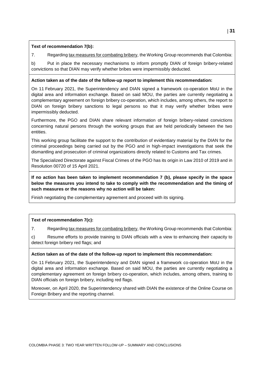#### **Text of recommendation 7(b):**

7. Regarding tax measures for combating bribery, the Working Group recommends that Colombia:

b) Put in place the necessary mechanisms to inform promptly DIAN of foreign bribery-related convictions so that DIAN may verify whether bribes were impermissibly deducted.

#### **Action taken as of the date of the follow-up report to implement this recommendation:**

On 11 February 2021, the Superintendency and DIAN signed a framework co-operation MoU in the digital area and information exchange. Based on said MOU, the parties are currently negotiating a complementary agreement on foreign bribery co-operation, which includes, among others, the report to DIAN on foreign bribery sanctions to legal persons so that it may verify whether bribes were impermissibly deducted.

Furthermore, the PGO and DIAN share relevant information of foreign bribery-related convictions concerning natural persons through the working groups that are held periodically between the two entities.

This working group facilitate the support to the contribution of evidentiary material by the DIAN for the criminal proceedings being carried out by the PGO and in high-impact investigations that seek the dismantling and prosecution of criminal organizations directly related to Customs and Tax crimes.

The Specialized Directorate against Fiscal Crimes of the PGO has its origin in Law 2010 of 2019 and in Resolution 00720 of 15 April 2021.

**If no action has been taken to implement recommendation 7 (b), please specify in the space below the measures you intend to take to comply with the recommendation and the timing of such measures or the reasons why no action will be taken:** 

Finish negotiating the complementary agreement and proceed with its signing.

## **Text of recommendation 7(c):**

7. Regarding tax measures for combating bribery, the Working Group recommends that Colombia:

c) Resume efforts to provide training to DIAN officials with a view to enhancing their capacity to detect foreign bribery red flags; and

#### **Action taken as of the date of the follow-up report to implement this recommendation:**

On 11 February 2021, the Superintendency and DIAN signed a framework co-operation MoU in the digital area and information exchange. Based on said MOU, the parties are currently negotiating a complementary agreement on foreign bribery co-operation, which includes, among others, training to DIAN officials on foreign bribery, including red flags.

Moreover, on April 2020, the Superintendency shared with DIAN the existence of the Online Course on Foreign Bribery and the reporting channel.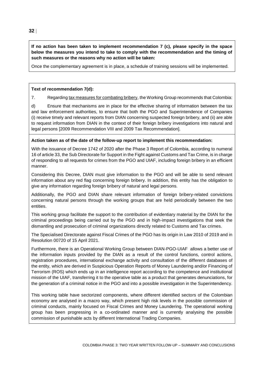**If no action has been taken to implement recommendation 7 (c), please specify in the space below the measures you intend to take to comply with the recommendation and the timing of such measures or the reasons why no action will be taken:** 

Once the complementary agreement is in place, a schedule of training sessions will be implemented.

#### **Text of recommendation 7(d):**

7. Regarding tax measures for combating bribery, the Working Group recommends that Colombia:

d) Ensure that mechanisms are in place for the effective sharing of information between the tax and law enforcement authorities, to ensure that both the PGO and Superintendence of Companies (i) receive timely and relevant reports from DIAN concerning suspected foreign bribery, and (ii) are able to request information from DIAN in the context of their foreign bribery investigations into natural and legal persons [2009 Recommendation VIII and 2009 Tax Recommendation].

#### **Action taken as of the date of the follow-up report to implement this recommendation:**

With the issuance of Decree 1742 of 2020 after the Phase 3 Report of Colombia, according to numeral 16 of article 33, the Sub Directorate for Support in the Fight against Customs and Tax Crime, is in charge of responding to all requests for crimes from the PGO and UIAF, including foreign bribery in an efficient manner.

Considering this Decree, DIAN must give information to the PGO and will be able to send relevant information about any red flag concerning foreign bribery. In addition, this entity has the obligation to give any information regarding foreign bribery of natural and legal persons.

Additionally, the PGO and DIAN share relevant information of foreign bribery-related convictions concerning natural persons through the working groups that are held periodically between the two entities.

This working group facilitate the support to the contribution of evidentiary material by the DIAN for the criminal proceedings being carried out by the PGO and in high-impact investigations that seek the dismantling and prosecution of criminal organizations directly related to Customs and Tax crimes.

The Specialised Directorate against Fiscal Crimes of the PGO has its origin in Law 2010 of 2019 and in Resolution 00720 of 15 April 2021.

Furthermore, there is an Operational Working Group between DIAN-PGO-UIAF allows a better use of the information inputs provided by the DIAN as a result of the control functions, control actions, registration procedures, international exchange activity and consultation of the different databases of the entity, which are derived in Suspicious Operation Reports of Money Laundering and/or Financing of Terrorism (ROS) which ends up in an intelligence report according to the competence and institutional mission of the UIAF, transferring it to the operative table as a product that generates denunciations, for the generation of a criminal notice in the PGO and into a possible investigation in the Superintendency.

This working table have sectorized components, where different identified sectors of the Colombian economy are analysed in a macro way, which present high risk levels in the possible commission of criminal conducts, mainly focused on Fiscal Crimes and Money Laundering. The operational working group has been progressing in a co-ordinated manner and is currently analysing the possible commission of punishable acts by different International Trading Companies.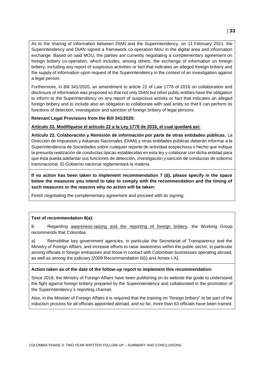As to the sharing of information between DIAN and the Superintendency, on 11 February 2021, the Superintendency and DIAN signed a framework co-operation MoU in the digital area and information exchange. Based on said MOU, the parties are currently negotiating a complementary agreement on foreign bribery co-operation, which includes, among others, the exchange of information on foreign bribery, including any report of suspicious activities or fact that indicates an alleged foreign bribery and the supply of information upon request of the Superintendency in the context of an investigation against a legal person.

Furthermore, in Bill 341/2020, an amendment to article 22 of Law 1778 of 2016 on collaboration and disclosure of information was proposed so that not only DIAN but other public entities have the obligation to inform to the Superintendency on any report of suspicious activity or fact that indicates an alleged foreign bribery and to include also an obligation to collaborate with said entity so that it can perform its functions of detection, investigation and sanction of foreign bribery of legal persons.

#### **Relevant Legal Provisions from the Bill 341/2020:**

**Artículo 33. Modifíquese el artículo 22 a la Ley 1778 de 2016, el cual quedará así:** 

**Artículo 22. Colaboración y Remisión de información por parte de otras entidades públicas.** La Dirección de Impuestos y Aduanas Nacionales (DIAN) y otras entidades públicas deberán informar a la Superintendencia de Sociedades sobre cualquier reporte de actividad sospechosa o hecho que indique la presunta realización de conductas típicas establecidas en esta ley y colaborar con dicha entidad para que ésta pueda adelantar sus funciones de detección, investigación y sanción de conductas de soborno transnacional. El Gobierno nacional reglamentará la materia.

**If no action has been taken to implement recommendation 7 (d), please specify in the space below the measures you intend to take to comply with the recommendation and the timing of such measures or the reasons why no action will be taken:** 

Finish negotiating the complementary agreement and proceed with its signing.

#### **Text of recommendation 8(a):**

8. Regarding awareness-raising and the reporting of foreign bribery, the Working Group recommends that Colombia:

a) Remobilise key government agencies, in particular the Secretariat of Transparency and the Ministry of Foreign Affairs, and increase efforts to raise awareness within the public sector, in particular among officials in foreign embassies and those in contact with Colombian businesses operating abroad, as well as among the judiciary [2009 Recommendation III(i) and Annex I.A].

#### **Action taken as of the date of the follow-up report to implement this recommendation:**

Since 2018, the Ministry of Foreign Affairs have been publishing on its website the guide to understand the fight against foreign bribery prepared by the Superintendency and collaborated in the promotion of the Superintendency´s reporting channel.

Also, in the Minister of Foreign Affairs it is required that the training on "foreign bribery" to be part of the induction process for all officials appointed abroad, and so far, more than 63 officials have been trained.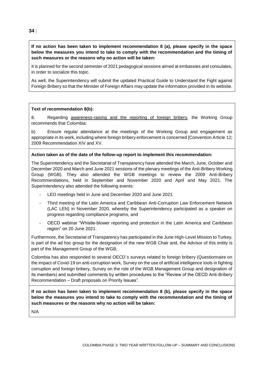**If no action has been taken to implement recommendation 8 (a), please specify in the space below the measures you intend to take to comply with the recommendation and the timing of such measures or the reasons why no action will be taken:** 

It is planned for the second semester of 2021 pedagogical sessions aimed at embassies and consulates, in order to socialize this topic.

As well, the Superintendency will submit the updated Practical Guide to Understand the Fight against Foreign Bribery so that the Minister of Foreign Affairs may update the information provided in its website.

#### **Text of recommendation 8(b):**

8. Regarding awareness-raising and the reporting of foreign bribery, the Working Group recommends that Colombia:

b) Ensure regular attendance at the meetings of the Working Group and engagement as appropriate in its work, including where foreign bribery enforcement is concerned [Convention Article 12; 2009 Recommendation XIV and XV.

#### **Action taken as of the date of the follow-up report to implement this recommendation:**

The Superintendency and the Secretariat of Transparency have attended the March, June, October and December 2020 and March and June 2021 sessions of the plenary meetings of the Anti-Bribery Working Group (WGB). They also attended the WGB meetings to review the 2009 Anti-Bribery Recommendations, held in September and November 2020 and April and May 2021. The Superintendency also attended the following events:

- LEO meetings held in June and December 2020 and June 2021.
- Third meeting of the Latin America and Caribbean Anti-Corruption Law Enforcement Network (LAC LEN) in November 2020, whereby the Superintendency participated as a speaker on progress regarding compliance programs, and
- OECD webinar "Whistle-blower reporting and protection in the Latin America and Caribbean region" on 20 June 2021.

Furthermore, the Secretariat of Transparency has participated in the June High-Level Mission to Turkey, is part of the ad hoc group for the designation of the new WGB Chair and, the Advisor of this entity is part of the Management Group of the WGB.

Colombia has also responded to several OECD´s surveys related to foreign bribery (Questionnaire on the impact of Covid-19 on anti-corruption work, Survey on the use of artificial intelligence tools in fighting corruption and foreign bribery, Survey on the role of the WGB Management Group and designation of its members) and submitted comments by written procedures to the "Review of the OECD Anti-Bribery Recommendation – Draft proposals on Priority Issues".

**If no action has been taken to implement recommendation 8 (b), please specify in the space below the measures you intend to take to comply with the recommendation and the timing of such measures or the reasons why no action will be taken:** 

N/A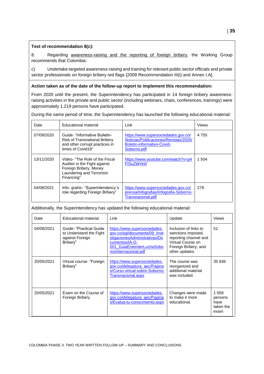#### **Text of recommendation 8(c):**

8. Regarding awareness-raising and the reporting of foreign bribery, the Working Group recommends that Colombia:

c) Undertake targeted awareness-raising and training for relevant public sector officials and private sector professionals on foreign bribery red flags [2009 Recommendation III(i) and Annex I.A].

#### **Action taken as of the date of the follow-up report to implement this recommendation:**

From 2020 until the present, the Superintendency has participated in 14 foreign bribery awarenessraising activities in the private and public sector (including webinars, chats, conferences, trainings) were approximately 1.219 persons have participated.

During the same period of time, the Superintendency has launched the following educational material:

| Date       | Educational material                                                                                                               | Link                                                                                                                      | Views   |
|------------|------------------------------------------------------------------------------------------------------------------------------------|---------------------------------------------------------------------------------------------------------------------------|---------|
| 07/09/2020 | Guide- "Informative Bulletin-<br><b>Risk of Transnational Bribery</b><br>and other corrupt practices in<br>times of Covid19"       | https://www.supersociedades.gov.co/<br>Noticias/Publicaciones/Revistas/2020/<br>Boletin-informativo-Covid-<br>Soborno.pdf | 4 7 5 5 |
| 13/11/2020 | Video- "The Role of the Fiscal<br>Auditor in the Fight against<br>Foreign Bribery, Money<br>Laundering and Terrorism<br>Financing" | https://www.youtube.com/watch?v=p4<br>FISuZWHn0                                                                           | 1 504   |
| 04/08/2021 | Info-grahic- "Superintendency's<br>role regarding Foreign Bribery"                                                                 | https://www.supersociedades.gov.co/<br>prensa/Infografias/Infografia-Soborno-<br>Transnacional.pdf                        | 279     |

Additionally, the Superintendency has updated the following educational material:

| Date       | Educational material                                                               | Link                                                                                                                                                                 | Update                                                                                                                              | <b>Views</b>                                    |
|------------|------------------------------------------------------------------------------------|----------------------------------------------------------------------------------------------------------------------------------------------------------------------|-------------------------------------------------------------------------------------------------------------------------------------|-------------------------------------------------|
| 04/08/2021 | Guide- "Practical Guide"<br>to Understand the Fight<br>against Foreign<br>Bribery" | https://www.supersociedades.<br>gov.co/sgi/documents/09_Inve<br>stigacionesAdministrativas/Do<br>cumentos/IA-G-<br>001 GuiaEntenderLuchaSobo<br>rnoInternacional.pdf | Inclusion of links to<br>sanctions imposed,<br>reporting channel and<br>Virtual Course on<br>Foreign Bribery, and<br>other updates. | 51                                              |
| 20/05/2021 | Virtual course- "Foreign<br>Bribery"                                               | https://www.supersociedades.<br>gov.co/delegatura_aec/Pagina<br>s/Curso-virtual-sobre-Soborno-<br>Transnacional.aspx                                                 | The course was<br>reorganized and<br>additional material<br>was included.                                                           | 35 836                                          |
| 20/05/2021 | Exam on the Course of<br>Foreign Bribery                                           | https://www.supersociedades.<br>gov.co/delegatura aec/Pagina<br>s/Evalua-tu-conocimiento.aspx                                                                        | Changes were made<br>to make it more<br>educational.                                                                                | 1 0 5 9<br>persons<br>have<br>taken the<br>exam |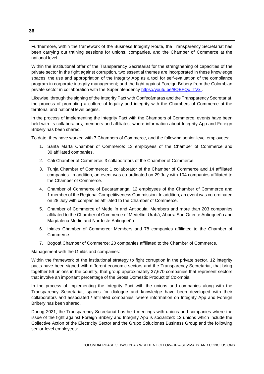Furthermore, within the framework of the Business Integrity Route, the Transparency Secretariat has been carrying out training sessions for unions, companies, and the Chamber of Commerce at the national level.

Within the institutional offer of the Transparency Secretariat for the strengthening of capacities of the private sector in the fight against corruption, two essential themes are incorporated in these knowledge spaces: the use and appropriation of the Integrity App as a tool for self-evaluation of the compliance program in corporate integrity management; and the fight against Foreign Bribery from the Colombian private sector in collaboration with the Superintendency [https://youtu.be/8QEFQc\\_TVxI.](https://youtu.be/8QEFQc_TVxI)

Likewise, through the signing of the Integrity Pact with Confecámaras and the Transparency Secretariat, the process of promoting a culture of legality and integrity with the Chambers of Commerce at the territorial and national level begins.

In the process of implementing the Integrity Pact with the Chambers of Commerce, events have been held with its collaborators, members and affiliates, where information about Integrity App and Foreign Bribery has been shared.

To date, they have worked with 7 Chambers of Commerce, and the following senior-level employees:

- 1. Santa Marta Chamber of Commerce: 13 employees of the Chamber of Commerce and 30 affiliated companies.
- 2. Cali Chamber of Commerce: 3 collaborators of the Chamber of Commerce.
- 3. Tunja Chamber of Commerce: 1 collaborator of the Chamber of Commerce and 14 affiliated companies. In addition, an event was co-ordinated on 29 July with 104 companies affiliated to the Chamber of Commerce.
- 4. Chamber of Commerce of Bucaramanga: 12 employees of the Chamber of Commerce and 1 member of the Regional Competitiveness Commission. In addition, an event was co-ordinated on 28 July with companies affiliated to the Chamber of Commerce.
- 5. Chamber of Commerce of Medellín and Antioquia: Members and more than 203 companies affiliated to the Chamber of Commerce of Medellín, Urabá, Aburra Sur, Oriente Antioqueño and Magdalena Medio and Nordeste Antioqueño.
- 6. Ipiales Chamber of Commerce: Members and 78 companies affiliated to the Chamber of Commerce.
- 7. Bogotá Chamber of Commerce: 20 companies affiliated to the Chamber of Commerce.

Management with the Guilds and companies:

Within the framework of the institutional strategy to fight corruption in the private sector, 12 integrity pacts have been signed with different economic sectors and the Transparency Secretariat, that bring together 56 unions in the country, that group approximately 37,670 companies that represent sectors that involve an important percentage of the Gross Domestic Product of Colombia.

In the process of implementing the Integrity Pact with the unions and companies along with the Transparency Secretariat, spaces for dialogue and knowledge have been developed with their collaborators and associated / affiliated companies, where information on Integrity App and Foreign Bribery has been shared.

During 2021, the Transparency Secretariat has held meetings with unions and companies where the issue of the fight against Foreign Bribery and Integrity App is socialized: 12 unions which include the Collective Action of the Electricity Sector and the Grupo Soluciones Business Group and the following senior-level employees: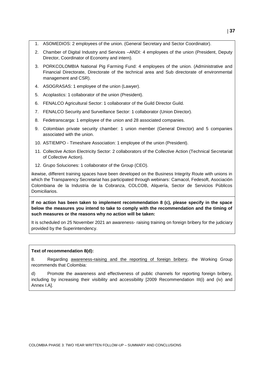- 1. ASOMEDIOS: 2 employees of the union. (General Secretary and Sector Coordinator).
- 2. Chamber of Digital Industry and Services –ANDI: 4 employees of the union (President, Deputy Director, Coordinator of Economy and intern).
- 3. PORKCOLOMBIA National Pig Farming Fund: 4 employees of the union. (Administrative and Financial Directorate, Directorate of the technical area and Sub directorate of environmental management and CSR).
- 4. ASOGRASAS: 1 employee of the union (Lawyer).
- 5. Acoplastics: 1 collaborator of the union (President).
- 6. FENALCO Agricultural Sector: 1 collaborator of the Guild Director Guild.
- 7. FENALCO Security and Surveillance Sector: 1 collaborator (Union Director).
- 8. Fedetranscarga: 1 employee of the union and 28 associated companies.
- 9. Colombian private security chamber: 1 union member (General Director) and 5 companies associated with the union.
- 10. ASTIEMPO Timeshare Association: 1 employee of the union (President).
- 11. Collective Action Electricity Sector: 2 collaborators of the Collective Action (Technical Secretariat of Collective Action).
- 12. Grupo Soluciones: 1 collaborator of the Group (CEO).

ikewise, different training spaces have been developed on the Business Integrity Route with unions in which the Transparency Secretariat has participated through webinars: Camacol, Fedesoft, Asociación Colombiana de la Industria de la Cobranza, COLCOB, Alquería, Sector de Servicios Públicos Domiciliarios.

**If no action has been taken to implement recommendation 8 (c), please specify in the space below the measures you intend to take to comply with the recommendation and the timing of such measures or the reasons why no action will be taken:** 

It is scheduled on 25 November 2021 an awareness- raising training on foreign bribery for the judiciary provided by the Superintendency.

#### **Text of recommendation 8(d):**

8. Regarding awareness-raising and the reporting of foreign bribery, the Working Group recommends that Colombia:

d) Promote the awareness and effectiveness of public channels for reporting foreign bribery, including by increasing their visibility and accessibility [2009 Recommendation III(i) and (iv) and Annex I.A].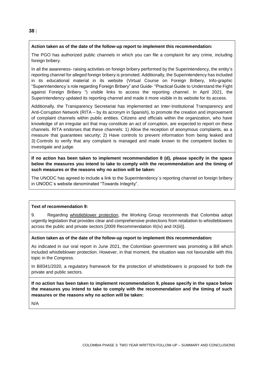#### **Action taken as of the date of the follow-up report to implement this recommendation:**

The PGO has authorized public channels in which you can file a complaint for any crime, including foreign bribery.

In all the awareness- raising activities on foreign bribery performed by the Superintendency, the entity's reporting channel for alleged foreign bribery is promoted. Additionally, the Superintendency has included in its educational material in its website (Virtual Course on Foreign Bribery, Info-graphic "Superintendency´s role regarding Foreign Bribery" and Guide- "Practical Guide to Understand the Fight against Foreign Bribery ") visible links to access the reporting channel. In April 2021, the Superintendency updated its reporting channel and made it more visible in its website for its access.

Additionally, the Transparency Secretariat has implemented an Inter-Institutional Transparency and Anti-Corruption Network (RITA – by its acronym in Spanish), to promote the creation and improvement of complaint channels within public entities. Citizens and officials within the organization, who have knowledge of an irregular act that may constitute an act of corruption, are expected to report on these channels. RITA endorses that these channels: 1) Allow the reception of anonymous complaints, as a measure that guarantees security; 2) Have controls to prevent information from being leaked and 3) Controls to verify that any complaint is managed and made known to the competent bodies to investigate and judge.

**If no action has been taken to implement recommendation 8 (d), please specify in the space below the measures you intend to take to comply with the recommendation and the timing of such measures or the reasons why no action will be taken:** 

The UNODC has agreed to include a link to the Superintendency´s reporting channel on foreign bribery in UNODC´s website denominated "Towards Integrity".

#### **Text of recommendation 9:**

9. Regarding whistleblower protection, the Working Group recommends that Colombia adopt urgently legislation that provides clear and comprehensive protections from retaliation to whistleblowers across the public and private sectors [2009 Recommendation III(iv) and IX(iii)].

#### **Action taken as of the date of the follow-up report to implement this recommendation:**

As indicated in our oral report in June 2021, the Colombian government was promoting a Bill which included whistleblower protection. However, in that moment, the situation was not favourable with this topic in the Congress.

In Bill341/2020, a regulatory framework for the protection of whistleblowers is proposed for both the private and public sectors.

**If no action has been taken to implement recommendation 9, please specify in the space below the measures you intend to take to comply with the recommendation and the timing of such measures or the reasons why no action will be taken:** 

N/A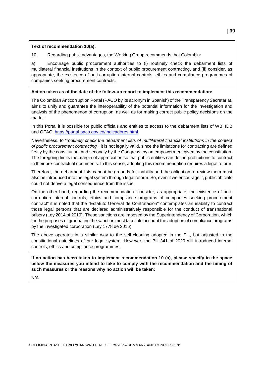#### **Text of recommendation 10(a):**

10. Regarding public advantages, the Working Group recommends that Colombia:

a) Encourage public procurement authorities to (i) routinely check the debarment lists of multilateral financial institutions in the context of public procurement contracting, and (ii) consider, as appropriate, the existence of anti-corruption internal controls, ethics and compliance programmes of companies seeking procurement contracts.

#### **Action taken as of the date of the follow-up report to implement this recommendation:**

The Colombian Anticorruption Portal (PACO by its acronym in Spanish) of the Transparency Secretariat, aims to unify and guarantee the interoperability of the potential information for the investigation and analysis of the phenomenon of corruption, as well as for making correct public policy decisions on the matter.

In this Portal it is possible for public officials and entities to access to the debarment lists of WB, IDB and OFAC: [https://portal.paco.gov.co/Indicadores.html.](https://portal.paco.gov.co/Indicadores.html)

Nevertheless, to "*routinely check the debarment lists of multilateral financial institutions in the context of public procurement contracting*", it is not legally valid, since the limitations for contracting are defined firstly by the constitution, and secondly by the Congress, by an empowerment given by the constitution. The foregoing limits the margin of appreciation so that public entities can define prohibitions to contract in their pre-contractual documents. In this sense, adopting this recommendation requires a legal reform.

Therefore, the debarment lists cannot be grounds for inability and the obligation to review them must also be introduced into the legal system through legal reform. So, even if we encourage it, public officials could not derive a legal consequence from the issue.

On the other hand, regarding the recommendation "consider, as appropriate, the existence of anticorruption internal controls, ethics and compliance programs of companies seeking procurement contract" it is noted that the "Estatuto General de Contratación" contemplates an inability to contract those legal persons that are declared administratively responsible for the conduct of transnational bribery (Ley 2014 of 2019). These sanctions are imposed by the Superintendency of Corporation, which for the purposes of graduating the sanction must take into account the adoption of compliance programs by the investigated corporation (Ley 1778 de 2016).

The above operates in a similar way to the self-cleaning adopted in the EU, but adjusted to the constitutional guidelines of our legal system. However, the Bill 341 of 2020 will introduced internal controls, ethics and compliance programmes.

**If no action has been taken to implement recommendation 10 (a), please specify in the space below the measures you intend to take to comply with the recommendation and the timing of such measures or the reasons why no action will be taken:** 

N/A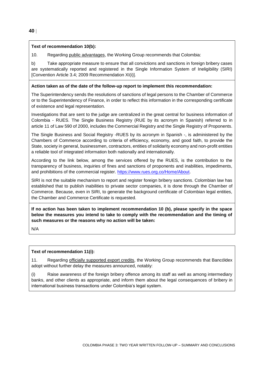#### **Text of recommendation 10(b):**

10. Regarding public advantages, the Working Group recommends that Colombia:

b) Take appropriate measure to ensure that all convictions and sanctions in foreign bribery cases are systematically reported and registered in the Single Information System of Ineligibility (SIRI) [Convention Article 3.4; 2009 Recommendation XI(i)].

#### **Action taken as of the date of the follow-up report to implement this recommendation:**

The Superintendency sends the resolutions of sanctions of legal persons to the Chamber of Commerce or to the Superintendency of Finance, in order to reflect this information in the corresponding certificate of existence and legal representation.

Investigations that are sent to the judge are centralized in the great central for business information of Colombia - RUES. The Single Business Registry (RUE by its acronym in Spanish) referred to in article 11 of Law 590 of 2000, includes the Commercial Registry and the Single Registry of Proponents.

The Single Business and Social Registry -RUES by its acronym in Spanish -, is administered by the Chambers of Commerce according to criteria of efficiency, economy, and good faith, to provide the State, society in general, businessmen, contractors, entities of solidarity economy and non-profit entities a reliable tool of integrated information both nationally and internationally.

According to the link below, among the services offered by the RUES, is the contribution to the transparency of business, inquiries of fines and sanctions of proponents and inabilities, impediments, and prohibitions of the commercial register. [https://www.rues.org.co/Home/About.](https://www.rues.org.co/Home/About)

SIRI is not the suitable mechanism to report and register foreign bribery sanctions. Colombian law has established that to publish inabilities to private sector companies, it is done through the Chamber of Commerce. Because, even in SIRI, to generate the background certificate of Colombian legal entities, the Chamber and Commerce Certificate is requested.

**If no action has been taken to implement recommendation 10 (b), please specify in the space below the measures you intend to take to comply with the recommendation and the timing of such measures or the reasons why no action will be taken:** 

N/A

## **Text of recommendation 11(i):**

11. Regarding officially supported export credits, the Working Group recommends that Bancóldex adopt without further delay the measures announced, notably:

(i) Raise awareness of the foreign bribery offence among its staff as well as among intermediary banks, and other clients as appropriate, and inform them about the legal consequences of bribery in international business transactions under Colombia's legal system.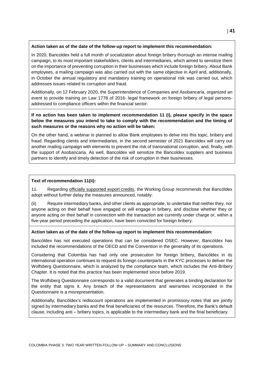#### **Action taken as of the date of the follow-up report to implement this recommendation:**

In 2020, Bancoldex held a full month of socialization about foreign bribery thorough an intense mailing campaign, to its most important stakeholders, clients and intermediaries, which aimed to sensitize them on the importance of preventing corruption in their businesses which include foreign bribery. About Bank employees, a mailing campaign was also carried out with the same objective in April and, additionally, in October the annual regulatory and mandatory training on operational risk was carried out, which addresses issues related to corruption and fraud.

Additionally, on 12 February 2020, the Superintendence of Companies and Asobancaria, organized an event to provide training on Law 1778 of 2016- legal framework on foreign bribery of legal personsaddressed to compliance officers within the financial sector.

**If no action has been taken to implement recommendation 11 (i), please specify in the space below the measures you intend to take to comply with the recommendation and the timing of such measures or the reasons why no action will be taken:** 

On the other hand, a webinar is planned to allow Bank employees to delve into this topic, bribery and fraud. Regarding clients and intermediaries, in the second semester of 2021 Bancoldex will carry out another mailing campaign with elements to prevent the risk of transnational corruption, and, finally, with the support of Asobancaria. As well, Bancoldex will sensitize the Bancoldex suppliers and business partners to identify and timely detection of the risk of corruption in their businesses.

#### **Text of recommendation 11(ii):**

11. Regarding officially supported export credits, the Working Group recommends that Bancóldex adopt without further delay the measures announced, notably:

(ii) Require intermediary banks, and other clients as appropriate, to undertake that neither they, nor anyone acting on their behalf have engaged or will engage in bribery, and disclose whether they or anyone acting on their behalf in connection with the transaction are currently under charge or, within a five-year period preceding the application, have been convicted for foreign bribery.

#### **Action taken as of the date of the follow-up report to implement this recommendation:**

Bancóldex has not executed operations that can be considered OSEC. However, Bancóldex has included the recommendations of the OECD and the Convention in the generality of its operations.

Considering that Colombia has had only one prosecution for foreign bribery, Bancóldex in its international operation continues to request its foreign counterparts in the KYC processes to deliver the Wolfsberg Questionnaire, which is analyzed by the compliance team, which includes the Anti-Bribery Chapter. It is noted that this practice has been implemented since before 2019.

The Wolfsberg Questionnaire corresponds to a valid document that generates a binding declaration for the entity that signs it. Any breach of the representations and warranties incorporated in the Questionnaire is a misrepresentation.

Additionally, Bancóldex's rediscount operations are implemented in promissory notes that are jointly signed by intermediary banks and the final beneficiaries of the resources. Therefore, the Bank's default clause, including anti – bribery topics, is applicable to the intermediary bank and the final beneficiary.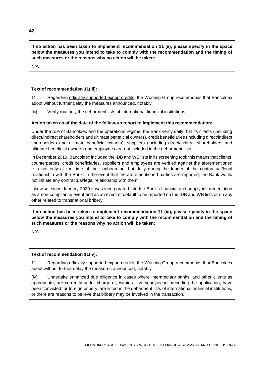**If no action has been taken to implement recommendation 11 (ii), please specify in the space below the measures you intend to take to comply with the recommendation and the timing of such measures or the reasons why no action will be taken:** 

N/A

#### **Text of recommendation 11(iii):**

11. Regarding officially supported export credits, the Working Group recommends that Bancóldex adopt without further delay the measures announced, notably:

(iii) Verify routinely the debarment lists of international financial institutions.

#### **Action taken as of the date of the follow-up report to implement this recommendation:**

Under the role of Bancoldex and the operations regime, the Bank verify daily that its clients (including direct/indirect shareholders and ultimate beneficial owners), credit beneficiaries (including direct/indirect shareholders and ultimate beneficial owners), suppliers (including direct/indirect shareholders and ultimate beneficial owners) and employees are not included in the debarment lists.

In December 2019, Bancóldex included the IDB and WB lists in its screening tool; this means that clients, counterparties, credit beneficiaries, suppliers and employees are verified against the aforementioned lists not only at the time of their onboarding, but daily during the length of the contractual/legal relationship with the Bank. In the event that the aforementioned parties are reported, the Bank would not initiate any contractual/legal relationship with them.

Likewise, since January 2020 it was incorporated into the Bank's financial and supply instrumentation as a non-compliance event and as an event of default to be reported on the IDB and WB lists or on any other related to transnational bribery.

**If no action has been taken to implement recommendation 11 (iii), please specify in the space below the measures you intend to take to comply with the recommendation and the timing of such measures or the reasons why no action will be taken:** 

N/A

#### **Text of recommendation 11(iv):**

11. Regarding officially supported export credits, the Working Group recommends that Bancóldex adopt without further delay the measures announced, notably:

(iv) Undertake enhanced due diligence in cases where intermediary banks, and other clients as appropriate, are currently under charge or, within a five-year period preceding the application, have been convicted for foreign bribery, are listed in the debarment lists of international financial institutions, or there are reasons to believe that bribery may be involved in the transaction.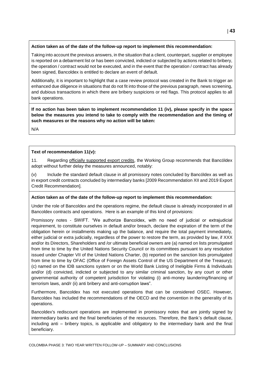#### **Action taken as of the date of the follow-up report to implement this recommendation:**

Taking into account the previous answers, in the situation that a client, counterpart, supplier or employee is reported on a debarment list or has been convicted, indicted or subjected by actions related to bribery, the operation / contract would not be executed, and in the event that the operation / contract has already been signed, Bancoldex is entitled to declare an event of default.

Additionally, it is important to highlight that a case review protocol was created in the Bank to trigger an enhanced due diligence in situations that do not fit into those of the previous paragraph, news screening, and dubious transactions in which there are bribery suspicions or red flags. This protocol applies to all bank operations.

**If no action has been taken to implement recommendation 11 (iv), please specify in the space below the measures you intend to take to comply with the recommendation and the timing of such measures or the reasons why no action will be taken:** 

N/A

#### **Text of recommendation 11(v):**

11. Regarding officially supported export credits, the Working Group recommends that Bancóldex adopt without further delay the measures announced, notably:

(v) Include the standard default clause in all promissory notes concluded by Bancóldex as well as in export credit contracts concluded by intermediary banks [2009 Recommendation XII and 2019 Export Credit Recommendation].

#### **Action taken as of the date of the follow-up report to implement this recommendation:**

Under the role of Bancoldex and the operations regime, the default clause is already incorporated in all Bancoldex contracts and operations. Here is an example of this kind of provisions:

Promissory notes - SWIFT. "We authorize Bancoldex, with no need of judicial or extrajudicial requirement, to constitute ourselves in default and/or breach, declare the expiration of the term of the obligation herein or installments making up the balance, and require the total payment immediately, either judicial or extra judicially, regardless of the power to restore the term, as provided by law, if XXX and/or its Directors, Shareholders and /or ultimate beneficial owners are (a) named on lists promulgated from time to time by the United Nations Security Council or its committees pursuant to any resolution issued under Chapter VII of the United Nations Charter, (b) reported on the sanction lists promulgated from time to time by OFAC (Office of Foreign Assets Control of the US Department of the Treasury); (c) named on the IDB sanctions system or on the World Bank Listing of Ineligible Firms & Individuals and/or (d) convicted, indicted or subjected to any similar criminal sanction, by any court or other governmental authority of competent jurisdiction for violating (i) anti-money laundering/financing of terrorism laws, and/r (ii) anti bribery and anti-corruption laws".

Furthermore, Bancoldex has not executed operations that can be considered OSEC. However, Bancoldex has included the recommendations of the OECD and the convention in the generality of its operations.

Bancoldex's rediscount operations are implemented in promissory notes that are jointly signed by intermediary banks and the final beneficiaries of the resources. Therefore, the Bank's default clause, including anti – bribery topics, is applicable and obligatory to the intermediary bank and the final beneficiary.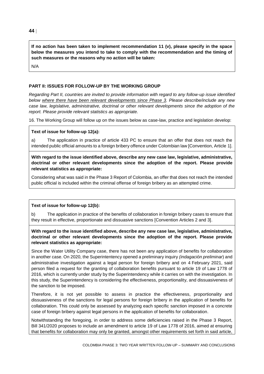**If no action has been taken to implement recommendation 11 (v), please specify in the space below the measures you intend to take to comply with the recommendation and the timing of such measures or the reasons why no action will be taken:** 

N/A

#### **PART II: ISSUES FOR FOLLOW-UP BY THE WORKING GROUP**

*Regarding Part II, countries are invited to provide information with regard to any follow-up issue identified below where there have been relevant developments since Phase 3. Please describe/include any new case law, legislative, administrative, doctrinal or other relevant developments since the adoption of the report. Please provide relevant statistics as appropriate.*

16. The Working Group will follow up on the issues below as case-law, practice and legislation develop:

#### **Text of issue for follow-up 12(a):**

a) The application in practice of article 433 PC to ensure that an offer that does not reach the intended public official amounts to a foreign bribery offence under Colombian law [Convention, Article 1].

**With regard to the issue identified above, describe any new case law, legislative, administrative, doctrinal or other relevant developments since the adoption of the report. Please provide relevant statistics as appropriate:**

Considering what was said in the Phase 3 Report of Colombia, an offer that does not reach the intended public official is included within the criminal offense of foreign bribery as an attempted crime.

#### **Text of issue for follow-up 12(b):**

The application in practice of the benefits of collaboration in foreign bribery cases to ensure that they result in effective, proportionate and dissuasive sanctions [Convention Articles 2 and 3].

#### **With regard to the issue identified above, describe any new case law, legislative, administrative, doctrinal or other relevant developments since the adoption of the report. Please provide relevant statistics as appropriate:**

Since the Water Utility Company case, there has not been any application of benefits for collaboration in another case. On 2020, the Superintentency opened a preliminary inquiry *(indagación preliminar*) and administrative investigation against a legal person for foreign bribery and on 4 February 2021, said person filed a request for the granting of collaboration benefits pursuant to article 19 of Law 1778 of 2016, which is currently under study by the Superintendency while it carries on with the investigation. In this study, the Superintendency is considering the effectiveness, proportionality, and dissuasiveness of the sanction to be imposed.

Therefore, it is not yet possible to assess in practice the effectiveness, proportionality and dissuasiveness of the sanctions for legal persons for foreign bribery in the application of benefits for collaboration. This could only be assessed by analyzing each specific sanction imposed in a concrete case of foreign bribery against legal persons in the application of benefits for collaboration.

Notwithstanding the foregoing, in order to address some deficiencies raised in the Phase 3 Report, Bill 341/2020 proposes to include an amendment to article 19 of Law 1778 of 2016, aimed at ensuring that benefits for collaboration may only be granted, amongst other requirements set forth in said article,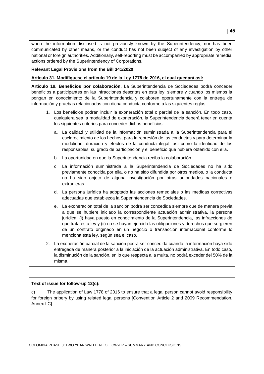when the information disclosed is not previously known by the Superintendency, nor has been communicated by other means, or the conduct has not been subject of any investigation by other national or foreign authorities. Additionally, self-reporting must be accompanied by appropriate remedial actions ordered by the Superintendency of Corporations.

**Relevant Legal Provisions from the Bill 341/2020:**

**Artículo 31. Modifíquese el artículo 19 de la Ley 1778 de 2016, el cual quedará así:** 

**Artículo 19. Beneficios por colaboración.** La Superintendencia de Sociedades podrá conceder beneficios a participantes en las infracciones descritas en esta ley, siempre y cuando los mismos la pongan en conocimiento de la Superintendencia y colaboren oportunamente con la entrega de información y pruebas relacionadas con dicha conducta conforme a las siguientes reglas:

- 1. Los beneficios podrán incluir la exoneración total o parcial de la sanción. En todo caso, cualquiera sea la modalidad de exoneración, la Superintendencia deberá tener en cuenta los siguientes criterios para conceder dichos beneficios:
	- a. La calidad y utilidad de la información suministrada a la Superintendencia para el esclarecimiento de los hechos, para la represión de las conductas y para determinar la modalidad, duración y efectos de la conducta ilegal, así como la identidad de los responsables, su grado de participación y el beneficio que hubiera obtenido con ella.
	- b. La oportunidad en que la Superintendencia reciba la colaboración.
	- c. La información suministrada a la Superintendencia de Sociedades no ha sido previamente conocida por ella, o no ha sido difundida por otros medios, o la conducta no ha sido objeto de alguna investigación por otras autoridades nacionales o extranjeras.
	- d. La persona jurídica ha adoptado las acciones remediales o las medidas correctivas adecuadas que establezca la Superintendencia de Sociedades.
	- e. La exoneración total de la sanción podrá ser concedida siempre que de manera previa a que se hubiere iniciado la correspondiente actuación administrativa, la persona jurídica: (i) haya puesto en conocimiento de la Superintendencia, las infracciones de que trata esta ley y (ii) no se hayan ejercido las obligaciones y derechos que surgieren de un contrato originado en un negocio o transacción internacional conforme lo menciona esta ley, según sea el caso.
- 2. La exoneración parcial de la sanción podrá ser concedida cuando la información haya sido entregada de manera posterior a la iniciación de la actuación administrativa. En todo caso, la disminución de la sanción, en lo que respecta a la multa, no podrá exceder del 50% de la misma.

#### **Text of issue for follow-up 12(c):**

c) The application of Law 1778 of 2016 to ensure that a legal person cannot avoid responsibility for foreign bribery by using related legal persons [Convention Article 2 and 2009 Recommendation, Annex I.C].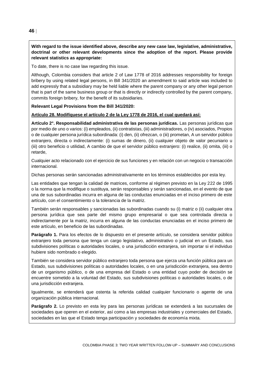#### **With regard to the issue identified above, describe any new case law, legislative, administrative, doctrinal or other relevant developments since the adoption of the report. Please provide relevant statistics as appropriate:**

To date, there is no case law regarding this issue.

Although, Colombia considers that article 2 of Law 1778 of 2016 addresses responsibility for foreign bribery by using related legal persons, in Bill 341/2020 an amendment to said article was included to add expressly that a subsidiary may be held liable where the parent company or any other legal person that is part of the same business group or that is directly or indirectly controlled by the parent company, commits foreign bribery, for the benefit of its subsidiaries.

#### **Relevant Legal Provisions from the Bill 341/2020:**

#### **Artículo 28. Modifíquese el artículo 2 de la Ley 1778 de 2016, el cual quedará así:**

**Artículo 2°. Responsabilidad administrativa de las personas jurídicas.** Las personas jurídicas que por medio de uno o varios: (i) empleados, (ii) contratistas, (iii) administradores, o (iv) asociados, Propios o de cualquier persona jurídica subordinada: (i) den, (ii) ofrezcan, o (iii) prometan, A un servidor público extranjero, directa o indirectamente: (i) sumas de dinero, (ii) cualquier objeto de valor pecuniario u (iii) otro beneficio o utilidad, A cambio de que el servidor público extranjero: (i) realice, (ii) omita, (iii) o retarde,

Cualquier acto relacionado con el ejercicio de sus funciones y en relación con un negocio o transacción internacional.

Dichas personas serán sancionadas administrativamente en los términos establecidos por esta ley.

Las entidades que tengan la calidad de matrices, conforme al régimen previsto en la Ley 222 de 1995 o la norma que la modifique o sustituya, serán responsables y serán sancionadas, en el evento de que una de sus subordinadas incurra en alguna de las conductas enunciadas en el inciso primero de este artículo, con el consentimiento o la tolerancia de la matriz.

También serán responsables y sancionadas las subordinadas cuando su (i) matriz o (ii) cualquier otra persona jurídica que sea parte del mismo grupo empresarial o que sea controlada directa o indirectamente por la matriz, incurra en alguna de las conductas enunciadas en el inciso primero de este artículo, en beneficio de las subordinadas.

**Parágrafo 1.** Para los efectos de lo dispuesto en el presente artículo, se considera servidor público extranjero toda persona que tenga un cargo legislativo, administrativo o judicial en un Estado, sus subdivisiones políticas o autoridades locales, o una jurisdicción extranjera, sin importar si el individuo hubiere sido nombrado o elegido.

También se considera servidor público extranjero toda persona que ejerza una función pública para un Estado, sus subdivisiones políticas o autoridades locales, o en una jurisdicción extranjera, sea dentro de un organismo público, o de una empresa del Estado o una entidad cuyo poder de decisión se encuentre sometido a la voluntad del Estado, sus subdivisiones políticas o autoridades locales, o de una jurisdicción extranjera.

Igualmente, se entenderá que ostenta la referida calidad cualquier funcionario o agente de una organización pública internacional.

**Parágrafo 2.** Lo previsto en esta ley para las personas jurídicas se extenderá a las sucursales de sociedades que operen en el exterior, así como a las empresas industriales y comerciales del Estado, sociedades en las que el Estado tenga participación y sociedades de economía mixta.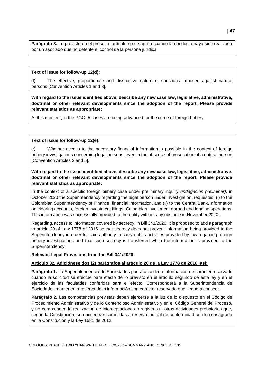**Parágrafo 3.** Lo previsto en el presente artículo no se aplica cuando la conducta haya sido realizada por un asociado que no detente el control de la persona jurídica.

#### **Text of issue for follow-up 12(d):**

d) The effective, proportionate and dissuasive nature of sanctions imposed against natural persons [Convention Articles 1 and 3].

**With regard to the issue identified above, describe any new case law, legislative, administrative, doctrinal or other relevant developments since the adoption of the report. Please provide relevant statistics as appropriate:**

At this moment, in the PGO, 5 cases are being advanced for the crime of foreign bribery.

#### **Text of issue for follow-up 12(e):**

e) Whether access to the necessary financial information is possible in the context of foreign bribery investigations concerning legal persons, even in the absence of prosecution of a natural person [Convention Articles 2 and 5].

**With regard to the issue identified above, describe any new case law, legislative, administrative, doctrinal or other relevant developments since the adoption of the report. Please provide relevant statistics as appropriate:**

In the context of a specific foreign bribery case under preliminary inquiry *(indagación preliminar)*, in October 2020 the Superintendency regarding the legal person under investigation, requested, (i) to the Colombian Superintendency of Finance, financial information, and (ii) to the Central Bank, information on clearing accounts, foreign investment filings, Colombian investment abroad and lending operations. This information was successfully provided to the entity without any obstacle in November 2020.

Regarding, access to information covered by secrecy, in Bill 341/2020, it is proposed to add a paragraph to article 20 of Law 1778 of 2016 so that secrecy does not prevent information being provided to the Superintendency in order for said authority to carry out its activities provided by law regarding foreign bribery investigations and that such secrecy is transferred when the information is provided to the Superintendency.

#### **Relevant Legal Provisions from the Bill 341/2020:**

#### **Artículo 32. Adiciónese dos (2) parágrafos al artículo 20 de la Ley 1778 de 2016, así:**

**Parágrafo 1.** La Superintendencia de Sociedades podrá acceder a información de carácter reservado cuando la solicitud se efectúe para efecto de lo previsto en el artículo segundo de esta ley y en el ejercicio de las facultades conferidas para el efecto. Corresponderá a la Superintendencia de Sociedades mantener la reserva de la información con carácter reservado que llegue a conocer.

**Parágrafo 2.** Las competencias previstas deben ejercerse a la luz de lo dispuesto en el Código de Procedimiento Administrativo y de lo Contencioso Administrativo y en el Código General del Proceso, y no comprenden la realización de interceptaciones o registros ni otras actividades probatorias que, según la Constitución, se encuentran sometidas a reserva judicial de conformidad con lo consagrado en la Constitución y la Ley 1581 de 2012.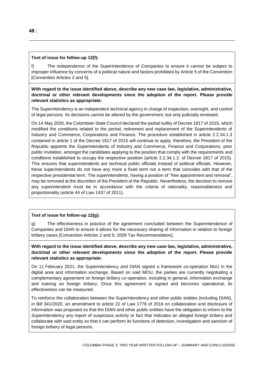## **Text of issue for follow-up 12(f):**

f) The independence of the Superintendence of Companies to ensure it cannot be subject to improper influence by concerns of a political nature and factors prohibited by Article 5 of the Convention [Convention Articles 2 and 5].

## **With regard to the issue identified above, describe any new case law, legislative, administrative, doctrinal or other relevant developments since the adoption of the report. Please provide relevant statistics as appropriate:**

The Superintendency is an independent technical agency in charge of inspection, oversight, and control of legal persons. Its decisions cannot be altered by the government, but only judicially reviewed.

On 14 May 2020, the Colombian State Council declared the partial nullity of Decree 1817 of 2015, which modified the conditions related to the period, retirement and replacement of the Superintendents of Industry and Commerce, Corporations and Finance. The procedure established in article 2.2.34.1.3 contained in article 1 of the Decree 1817 of 2015 will continue to apply, therefore, the President of the Republic appoints the Superintendents of Industry and Commerce, Finance and Corporations, prior public invitation, amongst the candidates applying to the position that comply with the requirements and conditions established to occupy the respective position (article 2.2.34.1.2. of Decree 1817 of 2015). This ensures that superintendents are technical public officials instead of political officials. However, these superintendents do not have any more a fixed term nor a term that coincides with that of the respective presidential term. The superintendents, having a position of "free appointment and removal", may be removed at the discretion of the President of the Republic. Nevertheless, the decision to remove any superintendent must be in accordance with the criteria of rationality, reasonableness and proportionality (article 44 of Law 1437 of 2011).

## **Text of issue for follow-up 12(g):**

g) The effectiveness in practice of the agreement concluded between the Superintendence of Companies and DIAN to ensure it allows for the necessary sharing of information in relation to foreign bribery cases [Convention Articles 2 and 5; 2009 Tax Recommendation].

**With regard to the issue identified above, describe any new case law, legislative, administrative, doctrinal or other relevant developments since the adoption of the report. Please provide relevant statistics as appropriate:**

On 11 February 2021, the Superintendency and DIAN signed a framework co-operation MoU in the digital area and information exchange. Based on said MOU, the parties are currently negotiating a complementary agreement on foreign bribery co-operation, including in general, information exchange and training on foreign bribery. Once this agreement is signed and becomes operational, its effectiveness can be measured.

To reinforce the collaboration between the Superintendency and other public entities (including DIAN), in Bill 341/2020, an amendment to article 22 of Law 1778 of 2016 on collaboration and disclosure of information was proposed so that the DIAN and other public entities have the obligation to inform to the Superintendency any report of suspicious activity or fact that indicates an alleged foreign bribery and collaborate with said entity so that it can perform its functions of detection, investigation and sanction of foreign bribery of legal persons.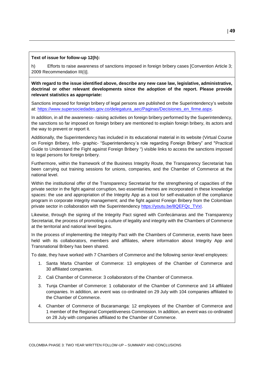#### **Text of issue for follow-up 12(h):**

h) Efforts to raise awareness of sanctions imposed in foreign bribery cases [Convention Article 3; 2009 Recommendation III(i)].

**With regard to the issue identified above, describe any new case law, legislative, administrative, doctrinal or other relevant developments since the adoption of the report. Please provide relevant statistics as appropriate:**

Sanctions imposed for foreign bribery of legal persons are published on the Superintendency's website at: [https://www.supersociedades.gov.co/delegatura\\_aec/Paginas/Decisiones\\_en\\_firme.aspx.](https://www.supersociedades.gov.co/delegatura_aec/Paginas/Decisiones_en_firme.aspx)

In addition, in all the awareness- raising activities on foreign bribery performed by the Superintendency, the sanctions so far imposed on foreign bribery are mentioned to explain foreign bribery, its actors and the way to prevent or report it.

Additionally, the Superintendency has included in its educational material in its website (Virtual Course on Foreign Bribery, Info- graphic- "Superintendency´s role regarding Foreign Bribery" and "Practical Guide to Understand the Fight against Foreign Bribery ") visible links to access the sanctions imposed to legal persons for foreign bribery.

Furthermore, within the framework of the Business Integrity Route, the Transparency Secretariat has been carrying out training sessions for unions, companies, and the Chamber of Commerce at the national level.

Within the institutional offer of the Transparency Secretariat for the strengthening of capacities of the private sector in the fight against corruption, two essential themes are incorporated in these knowledge spaces: the use and appropriation of the Integrity App as a tool for self-evaluation of the compliance program in corporate integrity management; and the fight against Foreign Bribery from the Colombian private sector in collaboration with the Superintendency [https://youtu.be/8QEFQc\\_TVxI.](https://youtu.be/8QEFQc_TVxI)

Likewise, through the signing of the Integrity Pact signed with Confecámaras and the Transparency Secretariat, the process of promoting a culture of legality and integrity with the Chambers of Commerce at the territorial and national level begins.

In the process of implementing the Integrity Pact with the Chambers of Commerce, events have been held with its collaborators, members and affiliates, where information about Integrity App and Transnational Bribery has been shared.

To date, they have worked with 7 Chambers of Commerce and the following senior-level employees:

- 1. Santa Marta Chamber of Commerce: 13 employees of the Chamber of Commerce and 30 affiliated companies.
- 2. Cali Chamber of Commerce: 3 collaborators of the Chamber of Commerce.
- 3. Tunja Chamber of Commerce: 1 collaborator of the Chamber of Commerce and 14 affiliated companies. In addition, an event was co-ordinated on 29 July with 104 companies affiliated to the Chamber of Commerce.
- 4. Chamber of Commerce of Bucaramanga: 12 employees of the Chamber of Commerce and 1 member of the Regional Competitiveness Commission. In addition, an event was co-ordinated on 28 July with companies affiliated to the Chamber of Commerce.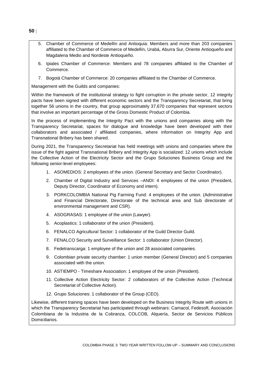- 5. Chamber of Commerce of Medellín and Antioquia: Members and more than 203 companies affiliated to the Chamber of Commerce of Medellín, Urabá, Aburra Sur, Oriente Antioqueño and Magdalena Medio and Nordeste Antioqueño.
- 6. Ipiales Chamber of Commerce: Members and 78 companies affiliated to the Chamber of Commerce.
- 7. Bogotá Chamber of Commerce: 20 companies affiliated to the Chamber of Commerce.

Management with the Guilds and companies:

Within the framework of the institutional strategy to fight corruption in the private sector, 12 integrity pacts have been signed with different economic sectors and the Transparency Secretariat, that bring together 56 unions in the country, that group approximately 37,670 companies that represent sectors that involve an important percentage of the Gross Domestic Product of Colombia.

In the process of implementing the Integrity Pact with the unions and companies along with the Transparency Secretariat, spaces for dialogue and knowledge have been developed with their collaborators and associated / affiliated companies, where information on Integrity App and Transnational Bribery has been shared.

During 2021, the Transparency Secretariat has held meetings with unions and companies where the issue of the fight against Transnational Bribery and Integrity App is socialized: 12 unions which include the Collective Action of the Electricity Sector and the Grupo Soluciones Business Group and the following senior-level employees:

- 1. ASOMEDIOS: 2 employees of the union. (General Secretary and Sector Coordinator).
- 2. Chamber of Digital Industry and Services –ANDI: 4 employees of the union (President, Deputy Director, Coordinator of Economy and intern).
- 3. PORKCOLOMBIA National Pig Farming Fund: 4 employees of the union. (Administrative and Financial Directorate, Directorate of the technical area and Sub directorate of environmental management and CSR).
- 4. ASOGRASAS: 1 employee of the union (Lawyer).
- 5. Acoplastics: 1 collaborator of the union (President).
- 6. FENALCO Agricultural Sector: 1 collaborator of the Guild Director Guild.
- 7. FENALCO Security and Surveillance Sector: 1 collaborator (Union Director).
- 8. Fedetranscarga: 1 employee of the union and 28 associated companies.
- 9. Colombian private security chamber: 1 union member (General Director) and 5 companies associated with the union.
- 10. ASTIEMPO Timeshare Association: 1 employee of the union (President).
- 11. Collective Action Electricity Sector: 2 collaborators of the Collective Action (Technical Secretariat of Collective Action).
- 12. Grupo Soluciones: 1 collaborator of the Group (CEO).

Likewise, different training spaces have been developed on the Business Integrity Route with unions in which the Transparency Secretariat has participated through webinars: Camacol, Fedesoft, Asociación Colombiana de la Industria de la Cobranza, COLCOB, Alquería, Sector de Servicios Públicos Domiciliarios.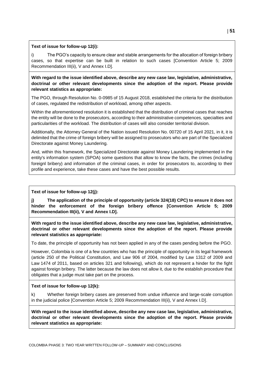#### **Text of issue for follow-up 12(i):**

i) The PGO's capacity to ensure clear and stable arrangements for the allocation of foreign bribery cases, so that expertise can be built in relation to such cases [Convention Article 5; 2009 Recommendation III(ii), V and Annex I.D].

**With regard to the issue identified above, describe any new case law, legislative, administrative, doctrinal or other relevant developments since the adoption of the report. Please provide relevant statistics as appropriate:**

The PGO, through Resolution No. 0-0985 of 15 August 2018, established the criteria for the distribution of cases, regulated the redistribution of workload, among other aspects.

Within the aforementioned resolution it is established that the distribution of criminal cases that reaches the entity will be done to the prosecutors, according to their administrative competences, specialties and particularities of the workload. The distribution of cases will also consider territorial division.

Additionally, the Attorney General of the Nation issued Resolution No. 00720 of 15 April 2021, in it, it is delimited that the crime of foreign bribery will be assigned to prosecutors who are part of the Specialized Directorate against Money Laundering.

And, within this framework, the Specialized Directorate against Money Laundering implemented in the entity's information system (SPOA) some questions that allow to know the facts, the crimes (including foreignl bribery) and information of the criminal cases, in order for prosecutors to, according to their profile and experience, take these cases and have the best possible results.

**Text of issue for follow-up 12(j):**

**j) The application of the principle of opportunity (article 324(18) CPC) to ensure it does not hinder the enforcement of the foreign bribery offence [Convention Article 5; 2009 Recommendation III(ii), V and Annex I.D].**

**With regard to the issue identified above, describe any new case law, legislative, administrative, doctrinal or other relevant developments since the adoption of the report. Please provide relevant statistics as appropriate:**

To date, the principle of opportunity has not been applied in any of the cases pending before the PGO.

However, Colombia is one of a few countries who has the principle of opportunity in its legal framework (article 250 of the Political Constitution, and Law 906 of 2004, modified by Law 1312 of 2009 and Law 1474 of 2011, based on articles 321 and following), which do not represent a hinder for the fight against foreign bribery. The latter because the law does not allow it, due to the establish procedure that obligates that a judge must take part on the process.

#### **Text of issue for follow-up 12(k):**

k) Whether foreign bribery cases are preserved from undue influence and large-scale corruption in the judicial police [Convention Article 5; 2009 Recommendation III(ii), V and Annex I.D].

**With regard to the issue identified above, describe any new case law, legislative, administrative, doctrinal or other relevant developments since the adoption of the report. Please provide relevant statistics as appropriate:**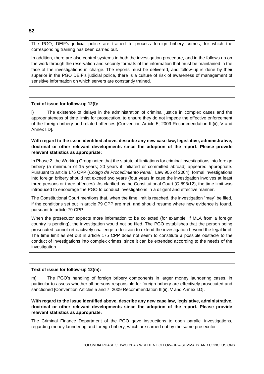The PGO, DEIF's judicial police are trained to process foreign bribery crimes, for which the corresponding training has been carried out.

In addition, there are also control systems in both the investigation procedure, and in the follows up on the work through the reservation and security formats of the information that must be maintained in the face of the investigations in charge. The reports must be delivered, and follow-up is done by their superior in the PGO DEIF's judicial police, there is a culture of risk of awareness of management of sensitive information on which servers are constantly trained.

#### **Text of issue for follow-up 12(l):**

l) The existence of delays in the administration of criminal justice in complex cases and the appropriateness of time limits for prosecution, to ensure they do not impede the effective enforcement of the foreign bribery and related offences [Convention Article 5; 2009 Recommendation III(ii), V and Annex I.D].

**With regard to the issue identified above, describe any new case law, legislative, administrative, doctrinal or other relevant developments since the adoption of the report. Please provide relevant statistics as appropriate:**

In Phase 2, the Working Group noted that the statute of limitations for criminal investigations into foreign bribery (a minimum of 15 years; 20 years if initiated or committed abroad) appeared appropriate. Pursuant to article 175 CPP (*Código de Procedimiento Penal ,* Law 906 of 2004), formal investigations into foreign bribery should not exceed two years (four years in case the investigation involves at least three persons or three offences). As clarified by the Constitutional Court (C-893/12), the time limit was introduced to encourage the PGO to conduct investigations in a diligent and effective manner.

The Constitutional Court mentions that, when the time limit is reached, the investigation "may" be filed, if the conditions set out in article 79 CPP are met, and should resume where new evidence is found, pursuant to article 79 CPP.

When the prosecutor expects more information to be collected (for example, if MLA from a foreign country is pending), the investigation would not be filed. The PGO establishes that the person being prosecuted cannot retroactively challenge a decision to extend the investigation beyond the legal limit. The time limit as set out in article 175 CPP does not seem to constitute a possible obstacle to the conduct of investigations into complex crimes, since it can be extended according to the needs of the investigation.

#### **Text of issue for follow-up 12(m):**

m) The PGO's handling of foreign bribery components in larger money laundering cases, in particular to assess whether all persons responsible for foreign bribery are effectively prosecuted and sanctioned [Convention Articles 5 and 7; 2009 Recommendation III(ii), V and Annex I.D].

**With regard to the issue identified above, describe any new case law, legislative, administrative, doctrinal or other relevant developments since the adoption of the report. Please provide relevant statistics as appropriate:**

The Criminal Finance Department of the PGO gave instructions to open parallel investigations, regarding money laundering and foreign bribery, which are carried out by the same prosecutor.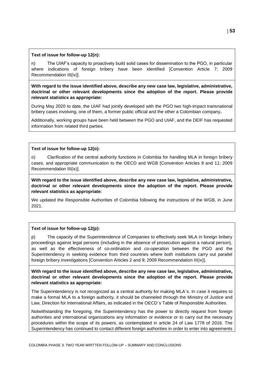#### **Text of issue for follow-up 12(n):**

n) The UIAF's capacity to proactively build solid cases for dissemination to the PGO, in particular where indications of foreign bribery have been identified [Convention Article 7; 2009 Recommendation III(iv)].

**With regard to the issue identified above, describe any new case law, legislative, administrative, doctrinal or other relevant developments since the adoption of the report. Please provide relevant statistics as appropriate:**

During May 2020 to date, the UIAF had jointly developed with the PGO two high-impact transnational bribery cases involving, one of them, a former public official and the other a Colombian company**.**

Additionally, working groups have been held between the PGO and UIAF, and the DEIF has requested information from related third parties.

#### **Text of issue for follow-up 12(o):**

o) Clarification of the central authority functions in Colombia for handling MLA in foreign bribery cases, and appropriate communication to the OECD and WGB [Convention Articles 9 and 11; 2009 Recommendation III(ix)].

**With regard to the issue identified above, describe any new case law, legislative, administrative, doctrinal or other relevant developments since the adoption of the report. Please provide relevant statistics as appropriate:**

We updated the Responsible Authorities of Colombia following the instructions of the WGB, in June 2021.

#### **Text of issue for follow-up 12(p):**

p) The capacity of the Superintendence of Companies to effectively seek MLA in foreign bribery proceedings against legal persons (including in the absence of prosecution against a natural person), as well as the effectiveness of co-ordination and co-operation between the PGO and the Superintendency in seeking evidence from third countries where both institutions carry out parallel foreign bribery investigations [Convention Articles 2 and 9; 2009 Recommendation III(ix)].

**With regard to the issue identified above, describe any new case law, legislative, administrative, doctrinal or other relevant developments since the adoption of the report. Please provide relevant statistics as appropriate:**

The Superintendency is not recognized as a central authority for making MLA´s. In case it requires to make a formal MLA to a foreign authority, it should be channeled through the Ministry of Justice and Law, Direction for International Affairs, as indicated in the OECD´s Table of Responsible Authorities.

Notwithstanding the foregoing, the Superintendency has the power to directly request from foreign authorities and international organizations any information or evidence or to carry out the necessary procedures within the scope of its powers, as contemplated in article 24 of Law 1778 of 2016. The Superintendency has continued to contact different foreign authorities in order to enter into agreements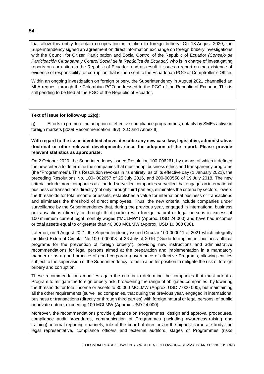that allow this entity to obtain co-operation in relation to foreign bribery. On 13 August 2020, the Superintendency signed an agreement on direct information exchange on foreign bribery investigations with the Council for Citizen Participation and Social Control of the Republic of Ecuador *(Consejo de Participación Ciudadana y Control Social de la República de Ecuador)* who is in charge of investigating reports on corruption in the Republic of Ecuador, and as result it issues a report on the existence of evidence of responsibility for corruption that is then sent to the Ecuadorian PGO or Comptroller´s Office.

Within an ongoing investigation on foreign bribery, the Superintendency in August 2021 channelled an MLA request through the Colombian PGO addressed to the PGO of the Republic of Ecuador. This is still pending to be filed at the PGO of the Republic of Ecuador.

#### **Text of issue for follow-up 12(q):**

q) Efforts to promote the adoption of effective compliance programmes, notably by SMEs active in foreign markets [2009 Recommendation III(v), X.C and Annex II].

**With regard to the issue identified above, describe any new case law, legislative, administrative, doctrinal or other relevant developments since the adoption of the report. Please provide relevant statistics as appropriate:**

On 2 October 2020, the Superintendency issued Resolution 100-006261, by means of which it defined the new criteria to determine the companies that must adopt business ethics and transparency programs (the "Programmes"). This Resolution revokes in its entirety, as of its effective day (1 January 2021), the preceding Resolutions No. 100- 002657 of 25 July 2016, and 200-000558 of 19 July 2018. The new criteria include more companies as it added surveilled companies surveilled that engages in international business or transactions directly (not only through third parties), eliminates the criteria by sectors, lowers the thresholds for total income or assets, establishes a value for international business or transactions and eliminates the threshold of direct employees. Thus, the new criteria include companies under surveillance by the Superintendency that, during the previous year, engaged in international business or transactions (directly or through third parties) with foreign natural or legal persons in excess of 100 minimum current legal monthly wages ("MCLMW") (Approx. USD 24 000) and have had incomes or total assets equal to or greater than 40,000 MCLMW (Approx. USD 10 000 000).

Later on, on 9 August 2021, the Superintendency issued Circular 100-000011 of 2021 which integrally modified External Circular No.100- 000003 of 26 July of 2016 ("Guide to implement business ethical programs for the prevention of foreign bribery"), providing new instructions and administrative recommendations for legal persons aimed at the preparation and implementation in a mandatory manner or as a good practice of good corporate governance of effective Programs, allowing entities subject to the supervision of the Superintendency, to be in a better position to mitigate the risk of foreign bribery and corruption.

These recommendations modifies again the criteria to determine the companies that must adopt a Program to mitigate the foreign bribery risk, broadening the range of obligated companies, by lowering the thresholds for total income or assets to 30,000 MCLMW (Approx. USD 7 000 000), but maintaining all the other requirements (surveilled companies, that during the previous year, engaged in international business or transactions (directly or through third parties) with foreign natural or legal persons, of public or private nature, exceeding 100 MCLMW (Approx. USD 24 000).

Moreover, the recommendations provide guidance on Programmes´ design and approval procedures, compliance audit procedures, communication of Programmes (including awareness-raising and training), internal reporting channels, role of the board of directors or the highest corporate body, the legal representative, compliance officers and external auditors, stages of Programmes (risks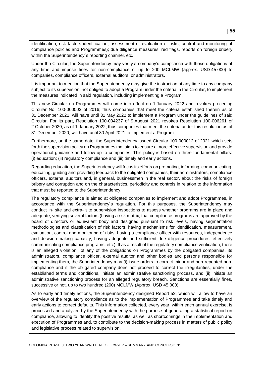identification, risk factors identification, assessment or evaluation of risks, control and monitoring of compliance policies and Programmes); due diligence measures, red flags, reports on foreign bribery within the Superintendency´s reporting channel, etc.

Under the Circular, the Superintendency may verify a company's compliance with these obligations at any time and impose fines for non-compliance of up to 200 MCLMW (approx. USD 45 000) to companies, compliance officers, external auditors, or administrators.

It is important to mention that the Superintendency may give the instruction at any time to any company subject to its supervision, not obliged to adopt a Program under the criteria in the Circular, to implement the measures indicated in said regulation, including implementing a Program.

This new Circular on Programmes will come into effect on 1 January 2022 and revokes preceding Circular No. 100-000003 of 2016; thus companies that meet the criteria established therein as of 31 December 2021, will have until 31 May 2022 to implement a Program under the guidelines of said Circular. For its part, Resolution 100-004237 of 9 August 2021 revokes Resolution 100-006261 of 2 October 2020, as of 1 January 2022; thus companies that meet the criteria under this resolution as of 31 December 2020, will have until 30 April 2021 to implement a Program.

Furthermore, on the same date, the Superintendency issued Circular 100-000012 of 2021 which sets forth the supervision policy on Programmes that aims to ensure a more effective supervision and provide operational guidance and follow up to companies. This policy is based on three fundamental pillars: (i) education; (ii) regulatory compliance and (iii) timely and early actions.

Regarding education, the Superintendency will focus its efforts on promoting, informing, communicating, educating, guiding and providing feedback to the obligated companies, their administrators, compliance officers, external auditors and, in general, businessmen in the real sector, about the risks of foreign bribery and corruption and on the characteristics, periodicity and controls in relation to the information that must be reported to the Superintendency.

The regulatory compliance is aimed at obligated companies to implement and adopt Programmes, in accordance with the Superintendency´s regulation. For this purposes, the Superintendency may conduct in- site and extra- site supervision inspections to assess whether programs are in place and adequate, verifying several factors (having a risk matrix, that compliance programs are approved by the board of directors or equivalent body and designed pursuant to risk levels, having segmentation methodologies and classification of risk factors, having mechanisms for identification, measurement, evaluation, control and monitoring of risks, having a compliance officer with resources, independence and decision-making capacity, having adequate and sufficient due diligence procedures, effectively communicating compliance programs, etc.). If as a result of the regulatory compliance verification, there is an alleged violation of any of the obligations on Programmes by the obligated companies, its administrators, compliance officer, external auditor and other bodies and persons responsible for implementing them, the Superintendency may (i) issue orders to correct minor and non-repeated noncompliance and if the obligated company does not proceed to correct the irregularities, under the established terms and conditions, initiate an administrative sanctioning process, and (ii) initiate an administrative sanctioning process for an alleged regulatory breach. Sanctions are essentially fines, successive or not, up to two hundred (200) MCLMW (Approx. USD 45 000).

As to early and timely actions, the Superintendency designed Report 52, which will allow to have an overview of the regulatory compliance as to the implementation of Programmes and take timely and early actions to correct defaults. This information collected, every year, within each annual exercise, is processed and analyzed by the Superintendency with the purpose of generating a statistical report on compliance, allowing to identify the positive results, as well as shortcomings in the implementation and execution of Programmes and, to contribute to the decision-making process in matters of public policy and legislative process related to supervision.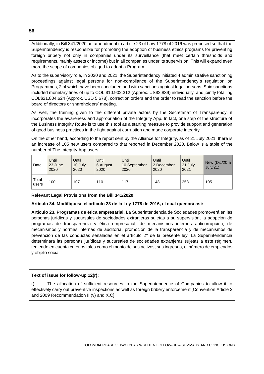Additionally, in Bill 341/2020 an amendment to article 23 of Law 1778 of 2016 was proposed so that the Superintendency is responsible for promoting the adoption of business ethics programs for preventing foreign bribery not only in companies under its surveillance (that meet certain thresholds and requirements, mainly assets or income) but in all companies under its supervision. This will expand even more the scope of companies obliged to adopt a Program.

As to the supervisory role, in 2020 and 2021, the Superintendency initiated 4 administrative sanctioning proceedings against legal persons for non-compliance of the Superintendency´s regulation on Programmes, 2 of which have been concluded and with sanctions against legal persons. Said sanctions included monetary fines of up to COL \$10.902.312 (Approx. US\$2,839) individually, and jointly totalling COL\$21.804.624 (Approx. USD 5 678), correction orders and the order to read the sanction before the board of directors or shareholders' meeting.

As well, the training given to the different private actors by the Secretariat of Transparency, it incorporates the awareness and appropriation of the Integrity App. In fact, one step of the structure of the Business Integrity Route is to use this tool as a starting measure to provide support and generation of good business practices in the fight against corruption and made corporate integrity.

On the other hand, according to the report sent by the Alliance for Integrity, as of 21 July 2021, there is an increase of 105 new users compared to that reported in December 2020. Below is a table of the number of The Integrity App users:

| Date           | Until<br>23 June<br>2020 | Until<br>10 July<br>2020 | Until<br>6 August<br>2020 | Until<br>10 September<br>2020 | Until<br>2 December<br>2020 | Until<br>21 July<br>2021 | New (Dic/20 a<br>July/21) |
|----------------|--------------------------|--------------------------|---------------------------|-------------------------------|-----------------------------|--------------------------|---------------------------|
| Total<br>users | 100                      | 107                      | 110                       | 117                           | 148                         | 253                      | 105                       |

**Relevant Legal Provisions from the Bill 341/2020:**

#### **Artículo 34. Modifíquese el artículo 23 de la Ley 1778 de 2016, el cual quedará así:**

**Artículo 23. Programas de ética empresarial.** La Superintendencia de Sociedades promoverá en las personas jurídicas y sucursales de sociedades extranjeras sujetas a su supervisión, la adopción de programas de transparencia y ética empresarial, de mecanismos internos anticorrupción, de mecanismos y normas internas de auditoría, promoción de la transparencia y de mecanismos de prevención de las conductas señaladas en el artículo 2° de la presente ley. La Superintendencia determinará las personas jurídicas y sucursales de sociedades extranjeras sujetas a este régimen, teniendo en cuenta criterios tales como el monto de sus activos, sus ingresos, el número de empleados y objeto social.

#### **Text of issue for follow-up 12(r):**

The allocation of sufficient resources to the Superintendence of Companies to allow it to effectively carry out preventive inspections as well as foreign bribery enforcement [Convention Article 2 and 2009 Recommendation III(v) and X.C].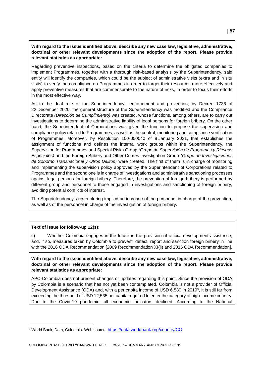#### **With regard to the issue identified above, describe any new case law, legislative, administrative, doctrinal or other relevant developments since the adoption of the report. Please provide relevant statistics as appropriate:**

Regarding preventive inspections, based on the criteria to determine the obligated companies to implement Programmes, together with a thorough risk-based analysis by the Superintendency, said entity will identify the companies, which could be the subject of administrative visits (extra and in situ visits) to verify the compliance on Programmes in order to target their resources more effectively and apply preventive measures that are commensurate to the nature of risks, in order to focus their efforts in the most effective way.

As to the dual role of the Superintendency– enforcement and prevention, by Decree 1736 of 22 December 2020, the general structure of the Superintendency was modified and the Compliance Directorate *(Dirección de Cumplimiento)* was created, whose functions, among others, are to carry out investigations to determine the administrative liability of legal persons for foreign bribery. On the other hand, the Superintendent of Corporations was given the function to propose the supervision and compliance policy related to Programmes, as well as the control, monitoring and compliance verification of Programmes. Moreover, by Resolution 100-000040 of 8 January 2021, that establishes the assignment of functions and defines the internal work groups within the Superintendency, the Supervision for Programmes and Special Risks Group *(Grupo de Supervisión de Programas y Riesgos Especiales)* and the Foreign Bribery and Other Crimes Investigation Group *(Grupo de Investigaciones de Soborno Transnacional y Otros Delitos)* were created. The first of them is in charge of monitoring and implementing the supervision policy approved by the Superintendent of Corporations related to Programmes and the second one is in charge of investigations and administrative sanctioning processes against legal persons for foreign bribery. Therefore, the prevention of foreign bribery is performed by different group and personnel to those engaged in investigations and sanctioning of foreign bribery, avoiding potential conflicts of interest.

The Superintendency's restructuring implied an increase of the personnel in charge of the prevention, as well as of the personnel in charge of the investigation of foreign bribery.

#### **Text of issue for follow-up 12(s):**

s) Whether Colombia engages in the future in the provision of official development assistance, and, if so, measures taken by Colombia to prevent, detect, report and sanction foreign bribery in line with the 2016 ODA Recommendation [2009 Recommendation XI(ii) and 2016 ODA Recommendation].

**With regard to the issue identified above, describe any new case law, legislative, administrative, doctrinal or other relevant developments since the adoption of the report. Please provide relevant statistics as appropriate:**

APC-Colombia does not present changes or updates regarding this point. Since the provision of ODA by Colombia is a scenario that has not yet been contemplated. Colombia is not a provider of Official Development Assistance (ODA) and, with a per capita income of USD 6,580 in 2019<sup>5</sup>, it is still far from exceeding the threshold of USD 12,535 per capita required to enter the category of high-income country. Due to the Covid-19 pandemic, all economic indicators declined. According to the National

<sup>5</sup> World Bank, Data, Colombia. Web source: <https://data.worldbank.org/country/CO>.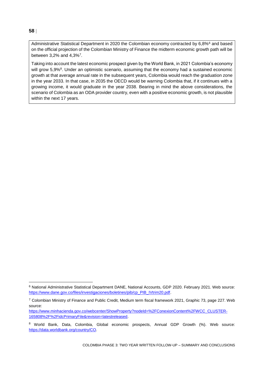## Administrative Statistical Department in 2020 the Colombian economy contracted by 6,8%<sup>6</sup> and based on the official projection of the Colombian Ministry of Finance the midterm economic growth path will be between 3,2% and 4,3%<sup>7</sup> .

Taking into account the latest economic prospect given by the World Bank, in 2021 Colombia's economy will grow 5,9%<sup>8</sup>. Under an optimistic scenario, assuming that the economy had a sustained economic growth at that average annual rate in the subsequent years, Colombia would reach the graduation zone in the year 2033. In that case, in 2035 the OECD would be warning Colombia that, if it continues with a growing income, it would graduate in the year 2038. Bearing in mind the above considerations, the scenario of Colombia as an ODA provider country, even with a positive economic growth, is not plausible within the next 17 years.

#### **58**

<sup>6</sup> National Administrative Statistical Department DANE, National Accounts, GDP 2020. February 2021. Web source: [https://www.dane.gov.co/files/investigaciones/boletines/pib/cp\\_PIB\\_IVtrim20.pdf.](https://www.dane.gov.co/files/investigaciones/boletines/pib/cp_PIB_IVtrim20.pdf)

 $7$  Colombian Ministry of Finance and Public Credit, Medium term fiscal framework 2021, Graphic 73, page 227. Web source:

[https://www.minhacienda.gov.co/webcenter/ShowProperty?nodeId=%2FConexionContent%2FWCC\\_CLUSTER-](https://www.minhacienda.gov.co/webcenter/ShowProperty?nodeId=%2FConexionContent%2FWCC_CLUSTER-165808%2F%2FidcPrimaryFile&revision=latestreleased)[165808%2F%2FidcPrimaryFile&revision=latestreleased.](https://www.minhacienda.gov.co/webcenter/ShowProperty?nodeId=%2FConexionContent%2FWCC_CLUSTER-165808%2F%2FidcPrimaryFile&revision=latestreleased)

<sup>8</sup> World Bank, Data, Colombia, Global economic prospects, Annual GDP Growth (%). Web source: [https://data.worldbank.org/country/CO.](https://data.worldbank.org/country/CO)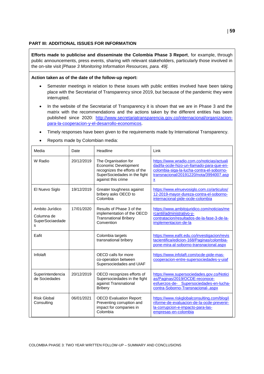#### **PART III: ADDITIONAL ISSUES FOR INFORMATION**

**Efforts made to publicise and disseminate the Colombia Phase 3 Report**, for example, through public announcements, press events, sharing with relevant stakeholders, particularly those involved in the on-site visit *[Phase 3 Monitoring Information Resources, para. 49].*

#### **Action taken as of the date of the follow-up report:**

- Semester meetings in relation to these issues with public entities involved have been taking place with the Secretariat of Transparency since 2019, but because of the pandemic they were interrupted.
- In the website of the Secretariat of Transparency it is shown that we are in Phase 3 and the matrix with the recommendations and the actions taken by the different entities has been published since 2020: [http://www.secretariatransparencia.gov.co/internacional/organizacion](http://www.secretariatransparencia.gov.co/internacional/organizacion-para-la-cooperacion-y-el-desarrollo-economicos)[para-la-cooperacion-y-el-desarrollo-economicos.](http://www.secretariatransparencia.gov.co/internacional/organizacion-para-la-cooperacion-y-el-desarrollo-economicos)
- Timely responses have been given to the requirements made by International Transparency.
- Reports made by Colombian media:

| Media                                                 | Date       | Headline                                                                                                                            | Link                                                                                                                                                                                                 |
|-------------------------------------------------------|------------|-------------------------------------------------------------------------------------------------------------------------------------|------------------------------------------------------------------------------------------------------------------------------------------------------------------------------------------------------|
| W Radio                                               | 20/12/2019 | The Organisation for<br>Economic Development<br>recognizes the efforts of the<br>SuperSociedades in the fight<br>against this crime | https://www.wradio.com.co/noticias/actuali<br>dad/la-ocde-hizo-un-llamado-para-que-en-<br>colombia-siga-la-lucha-contra-el-soborno-<br>transnacional/20191220/nota/3994007.asp<br>$\pmb{\mathsf{x}}$ |
| El Nuevo Siglo                                        | 19/12/2019 | Greater toughness against<br>bribery asks OECD to<br>Colombia                                                                       | https://www.elnuevosiglo.com.co/articulos/<br>12-2019-mayor-dureza-contra-el-soborno-<br>internacional-pide-ocde-colombia                                                                            |
| Ambito Jurídico<br>Columna de<br>SuperSociaedade<br>s | 17/01/2020 | Results of Phase 3 of the<br>implementation of the OECD<br><b>Transnational Bribery</b><br>Convention                               | https://www.ambitojuridico.com/noticias/me<br>rcantil/administrativo-y-<br>contratacion/resultados-de-la-fase-3-de-la-<br>implementacion-de-la                                                       |
| Eafit                                                 |            | Colombia targets<br>transnational bribery                                                                                           | https://www.eafit.edu.co/investigacion/revis<br>tacientifica/edicion-168/Paginas/colombia-<br>pone-mira-al-soborno-transnacional.aspx                                                                |
| Infolaft                                              |            | OECD calls for more<br>co-operation between<br>Supersociedades and UIAF                                                             | https://www.infolaft.com/ocde-pide-mas-<br>cooperacion-entre-supersociedades-y-uiaf                                                                                                                  |
| Superintendencia<br>de Sociedades                     | 20/12/2019 | OECD recognizes efforts of<br>Supersociedades in the fight<br>against Transnational<br><b>Bribery</b>                               | https://www.supersociedades.gov.co/Notici<br>as/Paginas/2019/OCDE-reconoce-<br>esfuerzos-de- Supersociedades-en-lucha-<br>contra-Soborno-Transnacional-.aspx                                         |
| <b>Risk Global</b><br>Consulting                      | 06/01/2021 | <b>OECD Evaluation Report:</b><br>Preventing corruption and<br>impact for companies in<br>Colombia                                  | https://www.riskglobalconsulting.com/blog/i<br>nforme-de-evaluacion-de-la-ocde-prevenir-<br>la-corrupcion-e-impacto-para-las-<br>empresas-en-colombia                                                |